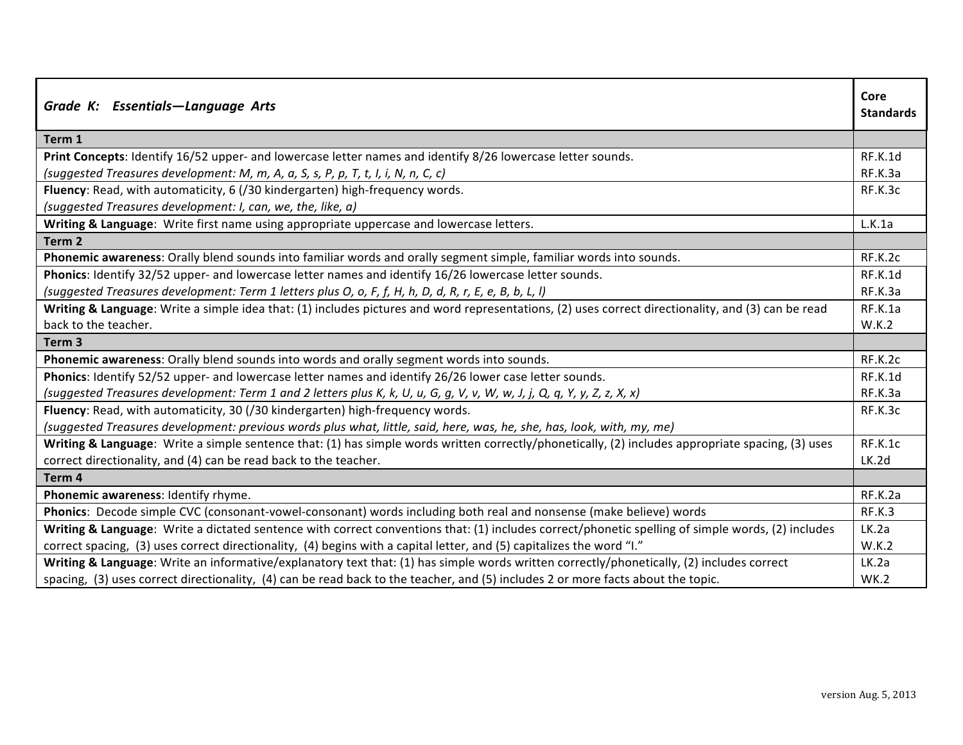| Grade K: Essentials-Language Arts                                                                                                                  | Core<br><b>Standards</b> |
|----------------------------------------------------------------------------------------------------------------------------------------------------|--------------------------|
| Term 1                                                                                                                                             |                          |
| Print Concepts: Identify 16/52 upper- and lowercase letter names and identify 8/26 lowercase letter sounds.                                        | RF.K.1d                  |
| (suggested Treasures development: M, m, A, a, S, s, P, p, T, t, I, i, N, n, C, c)                                                                  | RF.K.3a                  |
| Fluency: Read, with automaticity, 6 (/30 kindergarten) high-frequency words.                                                                       | RF.K.3c                  |
| (suggested Treasures development: I, can, we, the, like, a)                                                                                        |                          |
| Writing & Language: Write first name using appropriate uppercase and lowercase letters.                                                            | L.K.1a                   |
| Term <sub>2</sub>                                                                                                                                  |                          |
| Phonemic awareness: Orally blend sounds into familiar words and orally segment simple, familiar words into sounds.                                 | RF.K.2c                  |
| Phonics: Identify 32/52 upper- and lowercase letter names and identify 16/26 lowercase letter sounds.                                              | RF.K.1d                  |
| (suggested Treasures development: Term 1 letters plus O, o, F, f, H, h, D, d, R, r, E, e, B, b, L, l)                                              | RF.K.3a                  |
| Writing & Language: Write a simple idea that: (1) includes pictures and word representations, (2) uses correct directionality, and (3) can be read | RF.K.1a                  |
| back to the teacher.                                                                                                                               | W.K.2                    |
| Term <sub>3</sub>                                                                                                                                  |                          |
| Phonemic awareness: Orally blend sounds into words and orally segment words into sounds.                                                           | RF.K.2c                  |
| Phonics: Identify 52/52 upper- and lowercase letter names and identify 26/26 lower case letter sounds.                                             | RF.K.1d                  |
| (suggested Treasures development: Term 1 and 2 letters plus K, k, U, u, G, g, V, v, W, w, J, j, Q, q, Y, y, Z, z, X, x)                            | RF.K.3a                  |
| Fluency: Read, with automaticity, 30 (/30 kindergarten) high-frequency words.                                                                      | RF.K.3c                  |
| (suggested Treasures development: previous words plus what, little, said, here, was, he, she, has, look, with, my, me)                             |                          |
| Writing & Language: Write a simple sentence that: (1) has simple words written correctly/phonetically, (2) includes appropriate spacing, (3) uses  | RF.K.1c                  |
| correct directionality, and (4) can be read back to the teacher.                                                                                   | LK.2d                    |
| Term 4                                                                                                                                             |                          |
| Phonemic awareness: Identify rhyme.                                                                                                                | RF.K.2a                  |
| Phonics: Decode simple CVC (consonant-vowel-consonant) words including both real and nonsense (make believe) words                                 | RF.K.3                   |
| Writing & Language: Write a dictated sentence with correct conventions that: (1) includes correct/phonetic spelling of simple words, (2) includes  | LK.2a                    |
| correct spacing, (3) uses correct directionality, (4) begins with a capital letter, and (5) capitalizes the word "I."                              | W.K.2                    |
| Writing & Language: Write an informative/explanatory text that: (1) has simple words written correctly/phonetically, (2) includes correct          | LK.2a                    |
| spacing, (3) uses correct directionality, (4) can be read back to the teacher, and (5) includes 2 or more facts about the topic.                   | <b>WK.2</b>              |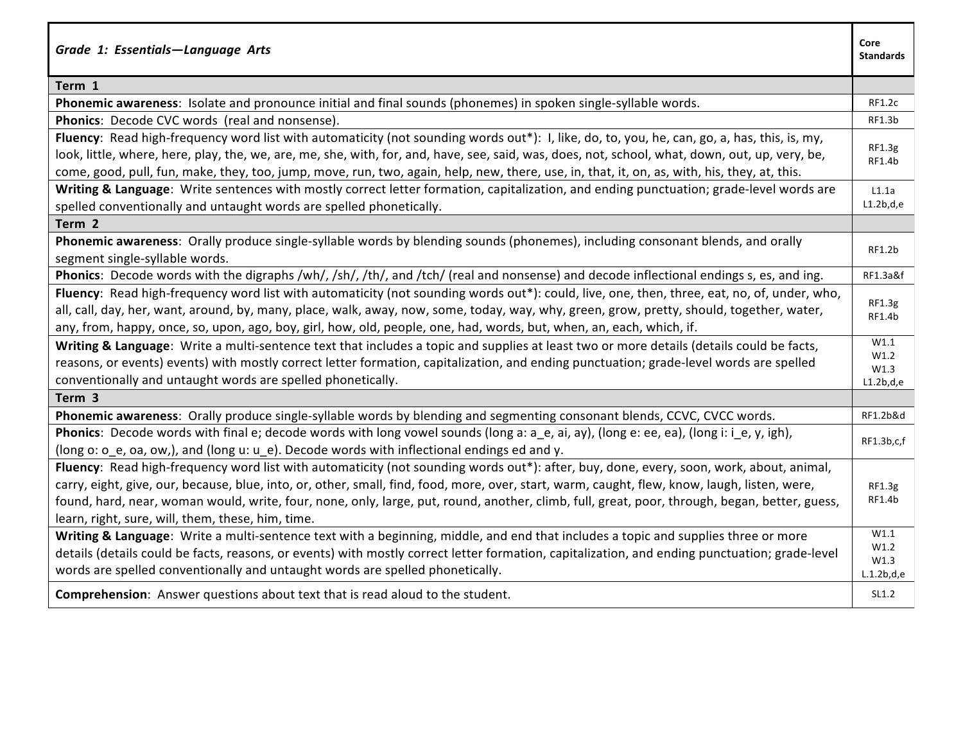| Grade 1: Essentials-Language Arts                                                                                                               | Core<br><b>Standards</b> |
|-------------------------------------------------------------------------------------------------------------------------------------------------|--------------------------|
| Term 1                                                                                                                                          |                          |
| Phonemic awareness: Isolate and pronounce initial and final sounds (phonemes) in spoken single-syllable words.                                  | <b>RF1.2c</b>            |
| Phonics: Decode CVC words (real and nonsense).                                                                                                  | RF1.3b                   |
| Fluency: Read high-frequency word list with automaticity (not sounding words out*): I, like, do, to, you, he, can, go, a, has, this, is, my,    | RF1.3g                   |
| look, little, where, here, play, the, we, are, me, she, with, for, and, have, see, said, was, does, not, school, what, down, out, up, very, be, | RF1.4b                   |
| come, good, pull, fun, make, they, too, jump, move, run, two, again, help, new, there, use, in, that, it, on, as, with, his, they, at, this.    |                          |
| Writing & Language: Write sentences with mostly correct letter formation, capitalization, and ending punctuation; grade-level words are         | L1.1a                    |
| spelled conventionally and untaught words are spelled phonetically.                                                                             | L1.2b,d,e                |
| Term 2                                                                                                                                          |                          |
| Phonemic awareness: Orally produce single-syllable words by blending sounds (phonemes), including consonant blends, and orally                  | RF1.2b                   |
| segment single-syllable words.                                                                                                                  |                          |
| Phonics: Decode words with the digraphs /wh/, /sh/, /th/, and /tch/ (real and nonsense) and decode inflectional endings s, es, and ing.         | RF1.3a&f                 |
| Fluency: Read high-frequency word list with automaticity (not sounding words out*): could, live, one, then, three, eat, no, of, under, who,     | RF1.3g                   |
| all, call, day, her, want, around, by, many, place, walk, away, now, some, today, way, why, green, grow, pretty, should, together, water,       | RF1.4b                   |
| any, from, happy, once, so, upon, ago, boy, girl, how, old, people, one, had, words, but, when, an, each, which, if.                            |                          |
| Writing & Language: Write a multi-sentence text that includes a topic and supplies at least two or more details (details could be facts,        | W1.1<br>W1.2             |
| reasons, or events) events) with mostly correct letter formation, capitalization, and ending punctuation; grade-level words are spelled         | W1.3                     |
| conventionally and untaught words are spelled phonetically.                                                                                     | L1.2b,d,e                |
| Term 3                                                                                                                                          |                          |
| Phonemic awareness: Orally produce single-syllable words by blending and segmenting consonant blends, CCVC, CVCC words.                         | RF1.2b&d                 |
| Phonics: Decode words with final e; decode words with long vowel sounds (long a: a_e, ai, ay), (long e: ee, ea), (long i: i_e, y, igh),         | RF1.3b,c,f               |
| (long o: o_e, oa, ow,), and (long u: u_e). Decode words with inflectional endings ed and y.                                                     |                          |
| Fluency: Read high-frequency word list with automaticity (not sounding words out*): after, buy, done, every, soon, work, about, animal,         |                          |
| carry, eight, give, our, because, blue, into, or, other, small, find, food, more, over, start, warm, caught, flew, know, laugh, listen, were,   | RF1.3g                   |
| found, hard, near, woman would, write, four, none, only, large, put, round, another, climb, full, great, poor, through, began, better, guess,   | RF1.4b                   |
| learn, right, sure, will, them, these, him, time.                                                                                               |                          |
| Writing & Language: Write a multi-sentence text with a beginning, middle, and end that includes a topic and supplies three or more              | W1.1                     |
| details (details could be facts, reasons, or events) with mostly correct letter formation, capitalization, and ending punctuation; grade-level  | W1.2<br>W1.3             |
| words are spelled conventionally and untaught words are spelled phonetically.                                                                   | L.1.2b,d,e               |
| Comprehension: Answer questions about text that is read aloud to the student.                                                                   | SL1.2                    |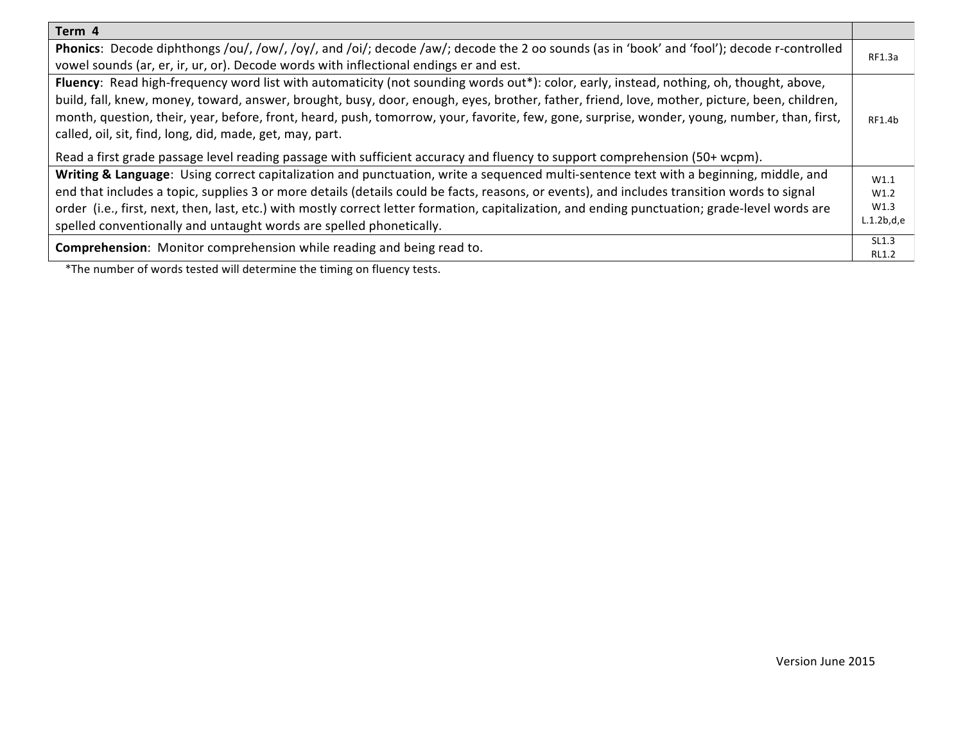| Phonics: Decode diphthongs /ou/, /ow/, /oy/, and /oi/; decode /aw/; decode the 2 oo sounds (as in 'book' and 'fool'); decode r-controlled<br>RF1.3a     |  |
|---------------------------------------------------------------------------------------------------------------------------------------------------------|--|
| vowel sounds (ar, er, ir, ur, or). Decode words with inflectional endings er and est.                                                                   |  |
| Fluency: Read high-frequency word list with automaticity (not sounding words out*): color, early, instead, nothing, oh, thought, above,                 |  |
| build, fall, knew, money, toward, answer, brought, busy, door, enough, eyes, brother, father, friend, love, mother, picture, been, children,            |  |
| month, question, their, year, before, front, heard, push, tomorrow, your, favorite, few, gone, surprise, wonder, young, number, than, first,<br>RF1.4b  |  |
| called, oil, sit, find, long, did, made, get, may, part.                                                                                                |  |
| Read a first grade passage level reading passage with sufficient accuracy and fluency to support comprehension (50+ wcpm).                              |  |
| Writing & Language: Using correct capitalization and punctuation, write a sequenced multi-sentence text with a beginning, middle, and<br>W1.1           |  |
| end that includes a topic, supplies 3 or more details (details could be facts, reasons, or events), and includes transition words to signal<br>W1.2     |  |
| W1.3<br>order (i.e., first, next, then, last, etc.) with mostly correct letter formation, capitalization, and ending punctuation; grade-level words are |  |
| L.1.2b,d,e<br>spelled conventionally and untaught words are spelled phonetically.                                                                       |  |
| SL1.3<br><b>Comprehension:</b> Monitor comprehension while reading and being read to.                                                                   |  |
| <b>RL1.2</b><br>الأراد والمستحيل والمستقل والمنافس والمستقل والمستقل والمستقلة والمستقلة والمستقلة                                                      |  |

\*The number of words tested will determine the timing on fluency tests.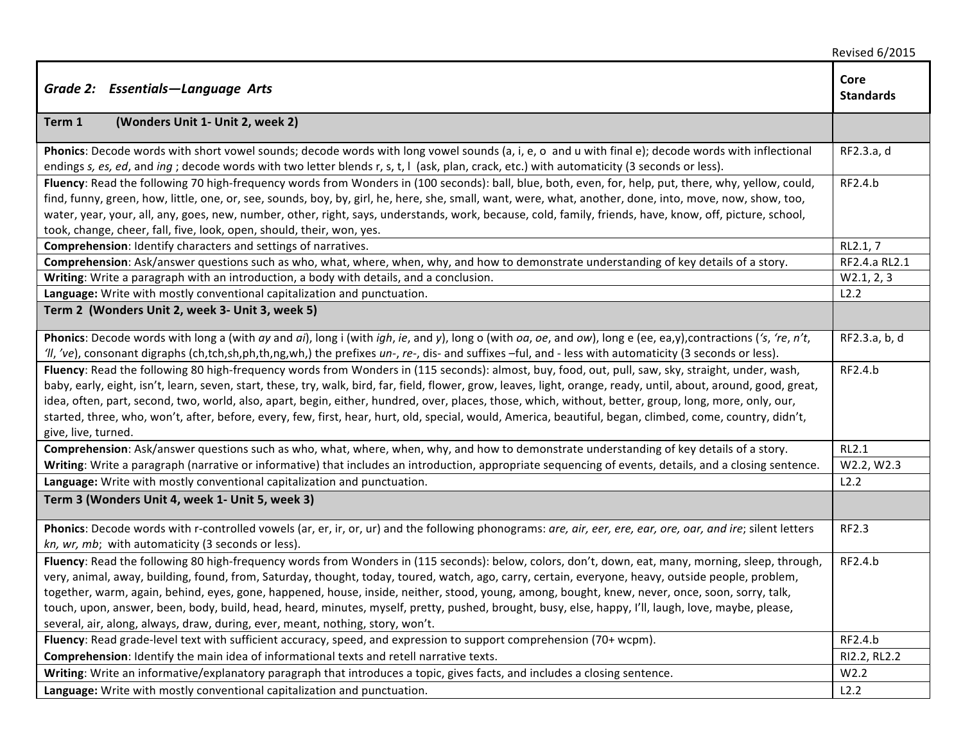|                                                                                                                                                                                                                                                                                                                                                                                                                                                                                                                                                                                                                                                                       | <b>Revised 6/2015</b>    |
|-----------------------------------------------------------------------------------------------------------------------------------------------------------------------------------------------------------------------------------------------------------------------------------------------------------------------------------------------------------------------------------------------------------------------------------------------------------------------------------------------------------------------------------------------------------------------------------------------------------------------------------------------------------------------|--------------------------|
| Grade 2: Essentials-Language Arts                                                                                                                                                                                                                                                                                                                                                                                                                                                                                                                                                                                                                                     | Core<br><b>Standards</b> |
| (Wonders Unit 1- Unit 2, week 2)<br>Term 1                                                                                                                                                                                                                                                                                                                                                                                                                                                                                                                                                                                                                            |                          |
| Phonics: Decode words with short vowel sounds; decode words with long vowel sounds (a, i, e, o and u with final e); decode words with inflectional<br>endings s, es, ed, and ing; decode words with two letter blends r, s, t, I (ask, plan, crack, etc.) with automaticity (3 seconds or less).                                                                                                                                                                                                                                                                                                                                                                      | RF2.3.a, d               |
| Fluency: Read the following 70 high-frequency words from Wonders in (100 seconds): ball, blue, both, even, for, help, put, there, why, yellow, could,<br>find, funny, green, how, little, one, or, see, sounds, boy, by, girl, he, here, she, small, want, were, what, another, done, into, move, now, show, too,<br>water, year, your, all, any, goes, new, number, other, right, says, understands, work, because, cold, family, friends, have, know, off, picture, school,<br>took, change, cheer, fall, five, look, open, should, their, won, yes.                                                                                                                | RF2.4.b                  |
| Comprehension: Identify characters and settings of narratives.                                                                                                                                                                                                                                                                                                                                                                                                                                                                                                                                                                                                        | RL2.1, 7                 |
| Comprehension: Ask/answer questions such as who, what, where, when, why, and how to demonstrate understanding of key details of a story.                                                                                                                                                                                                                                                                                                                                                                                                                                                                                                                              | RF2.4.a RL2.1            |
| Writing: Write a paragraph with an introduction, a body with details, and a conclusion.                                                                                                                                                                                                                                                                                                                                                                                                                                                                                                                                                                               | W2.1, 2, 3               |
| Language: Write with mostly conventional capitalization and punctuation.                                                                                                                                                                                                                                                                                                                                                                                                                                                                                                                                                                                              | L2.2                     |
| Term 2 (Wonders Unit 2, week 3- Unit 3, week 5)                                                                                                                                                                                                                                                                                                                                                                                                                                                                                                                                                                                                                       |                          |
| Phonics: Decode words with long a (with ay and ai), long i (with igh, ie, and y), long o (with oa, oe, and ow), long e (ee, ea,y), contractions ('s, 're, n't,<br>II, 've), consonant digraphs (ch,tch,sh,ph,th,ng,wh,) the prefixes un-, re-, dis- and suffixes -ful, and - less with automaticity (3 seconds or less).                                                                                                                                                                                                                                                                                                                                              | RF2.3.a, b, d            |
| Fluency: Read the following 80 high-frequency words from Wonders in (115 seconds): almost, buy, food, out, pull, saw, sky, straight, under, wash,<br>baby, early, eight, isn't, learn, seven, start, these, try, walk, bird, far, field, flower, grow, leaves, light, orange, ready, until, about, around, good, great,<br>idea, often, part, second, two, world, also, apart, begin, either, hundred, over, places, those, which, without, better, group, long, more, only, our,<br>started, three, who, won't, after, before, every, few, first, hear, hurt, old, special, would, America, beautiful, began, climbed, come, country, didn't,<br>give, live, turned. | RF2.4.b                  |
| Comprehension: Ask/answer questions such as who, what, where, when, why, and how to demonstrate understanding of key details of a story.                                                                                                                                                                                                                                                                                                                                                                                                                                                                                                                              | <b>RL2.1</b>             |
| Writing: Write a paragraph (narrative or informative) that includes an introduction, appropriate sequencing of events, details, and a closing sentence.                                                                                                                                                                                                                                                                                                                                                                                                                                                                                                               | W2.2, W2.3               |
| Language: Write with mostly conventional capitalization and punctuation.                                                                                                                                                                                                                                                                                                                                                                                                                                                                                                                                                                                              | L2.2                     |
| Term 3 (Wonders Unit 4, week 1- Unit 5, week 3)                                                                                                                                                                                                                                                                                                                                                                                                                                                                                                                                                                                                                       |                          |
| Phonics: Decode words with r-controlled vowels (ar, er, ir, or, ur) and the following phonograms: are, air, eer, ere, ear, ore, oar, and ire; silent letters<br>kn, wr, mb; with automaticity (3 seconds or less).                                                                                                                                                                                                                                                                                                                                                                                                                                                    | <b>RF2.3</b>             |
| Fluency: Read the following 80 high-frequency words from Wonders in (115 seconds): below, colors, don't, down, eat, many, morning, sleep, through,<br>very, animal, away, building, found, from, Saturday, thought, today, toured, watch, ago, carry, certain, everyone, heavy, outside people, problem,<br>together, warm, again, behind, eyes, gone, happened, house, inside, neither, stood, young, among, bought, knew, never, once, soon, sorry, talk,<br>touch, upon, answer, been, body, build, head, heard, minutes, myself, pretty, pushed, brought, busy, else, happy, I'll, laugh, love, maybe, please,                                                    | RF2.4.b                  |
| several, air, along, always, draw, during, ever, meant, nothing, story, won't.                                                                                                                                                                                                                                                                                                                                                                                                                                                                                                                                                                                        |                          |
| Fluency: Read grade-level text with sufficient accuracy, speed, and expression to support comprehension (70+ wcpm).                                                                                                                                                                                                                                                                                                                                                                                                                                                                                                                                                   | RF2.4.b                  |
| Comprehension: Identify the main idea of informational texts and retell narrative texts.                                                                                                                                                                                                                                                                                                                                                                                                                                                                                                                                                                              | RI2.2, RL2.2             |
| Writing: Write an informative/explanatory paragraph that introduces a topic, gives facts, and includes a closing sentence.                                                                                                                                                                                                                                                                                                                                                                                                                                                                                                                                            | W2.2                     |
| Language: Write with mostly conventional capitalization and punctuation.                                                                                                                                                                                                                                                                                                                                                                                                                                                                                                                                                                                              | L2.2                     |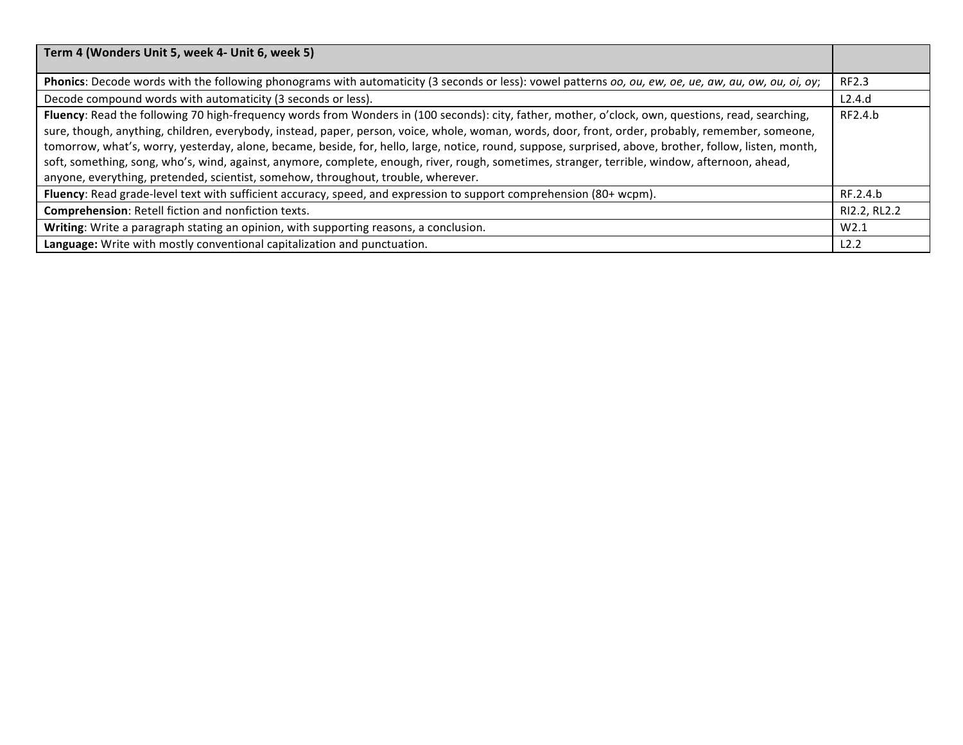| Term 4 (Wonders Unit 5, week 4- Unit 6, week 5)                                                                                                                                                                                                                                                                                                                                                                                                                                                                                                                                                                                                                                                           |              |
|-----------------------------------------------------------------------------------------------------------------------------------------------------------------------------------------------------------------------------------------------------------------------------------------------------------------------------------------------------------------------------------------------------------------------------------------------------------------------------------------------------------------------------------------------------------------------------------------------------------------------------------------------------------------------------------------------------------|--------------|
| Phonics: Decode words with the following phonograms with automaticity (3 seconds or less): vowel patterns oo, ou, ew, oe, ue, aw, au, ow, ou, oi, oy;                                                                                                                                                                                                                                                                                                                                                                                                                                                                                                                                                     | RF2.3        |
| Decode compound words with automaticity (3 seconds or less).                                                                                                                                                                                                                                                                                                                                                                                                                                                                                                                                                                                                                                              | L2.4.d       |
| Fluency: Read the following 70 high-frequency words from Wonders in (100 seconds): city, father, mother, o'clock, own, questions, read, searching,<br>sure, though, anything, children, everybody, instead, paper, person, voice, whole, woman, words, door, front, order, probably, remember, someone,<br>tomorrow, what's, worry, yesterday, alone, became, beside, for, hello, large, notice, round, suppose, surprised, above, brother, follow, listen, month,<br>soft, something, song, who's, wind, against, anymore, complete, enough, river, rough, sometimes, stranger, terrible, window, afternoon, ahead,<br>anyone, everything, pretended, scientist, somehow, throughout, trouble, wherever. | RF2.4.b      |
| Fluency: Read grade-level text with sufficient accuracy, speed, and expression to support comprehension (80+ wcpm).                                                                                                                                                                                                                                                                                                                                                                                                                                                                                                                                                                                       | RF.2.4.b     |
| Comprehension: Retell fiction and nonfiction texts.                                                                                                                                                                                                                                                                                                                                                                                                                                                                                                                                                                                                                                                       | RI2.2, RL2.2 |
| Writing: Write a paragraph stating an opinion, with supporting reasons, a conclusion.                                                                                                                                                                                                                                                                                                                                                                                                                                                                                                                                                                                                                     | W2.1         |
| Language: Write with mostly conventional capitalization and punctuation.                                                                                                                                                                                                                                                                                                                                                                                                                                                                                                                                                                                                                                  | L2.2         |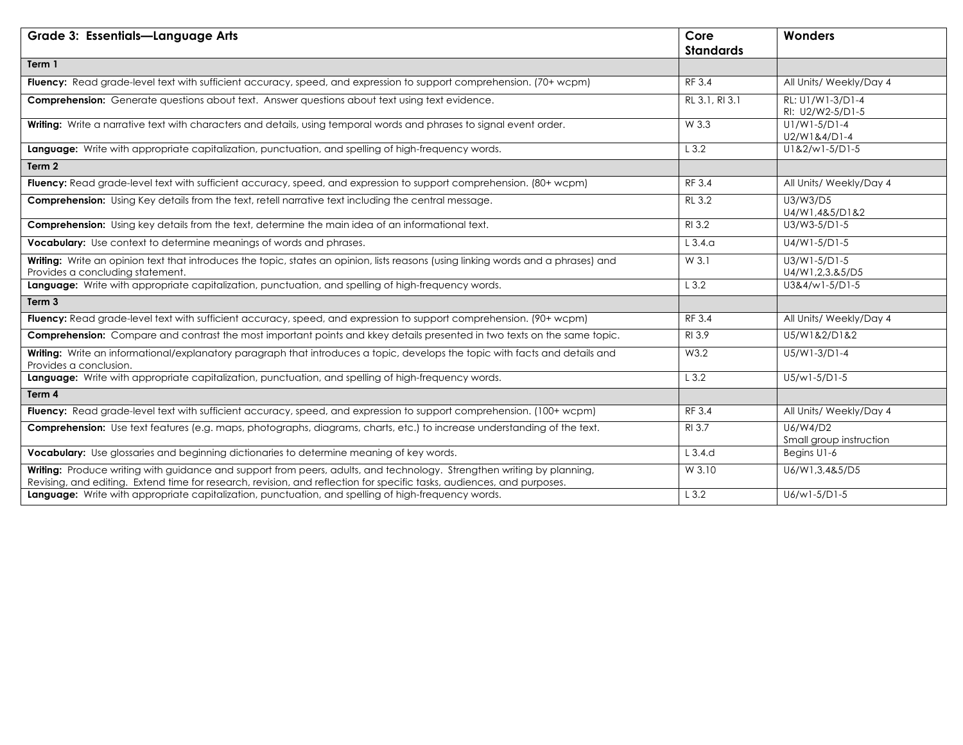| <b>Grade 3: Essentials-Language Arts</b>                                                                                                                                                                                                         | Core<br><b>Standards</b> | Wonders                               |
|--------------------------------------------------------------------------------------------------------------------------------------------------------------------------------------------------------------------------------------------------|--------------------------|---------------------------------------|
| Term 1                                                                                                                                                                                                                                           |                          |                                       |
| Fluency: Read grade-level text with sufficient accuracy, speed, and expression to support comprehension. (70+ wcpm)                                                                                                                              | RF 3.4                   | All Units/ Weekly/Day 4               |
| <b>Comprehension:</b> Generate questions about text. Answer questions about text using text evidence.                                                                                                                                            | RL 3.1, RI 3.1           | RL: U1/W1-3/D1-4<br>RI: U2/W2-5/D1-5  |
| Writing: Write a narrative text with characters and details, using temporal words and phrases to signal event order.                                                                                                                             | W 3.3                    | U1/W1-5/D1-4<br>U2/W1&4/D1-4          |
| Language: Write with appropriate capitalization, punctuation, and spelling of high-frequency words.                                                                                                                                              | L3.2                     | $U1&2/W1-5/D1-5$                      |
| Term 2                                                                                                                                                                                                                                           |                          |                                       |
| Fluency: Read grade-level text with sufficient accuracy, speed, and expression to support comprehension. (80+ wcpm)                                                                                                                              | RF 3.4                   | All Units/ Weekly/Day 4               |
| Comprehension: Using Key details from the text, retell narrative text including the central message.                                                                                                                                             | RL 3.2                   | U3/W3/D5<br>U4/W1,4&5/D1&2            |
| Comprehension: Using key details from the text, determine the main idea of an informational text.                                                                                                                                                | RI 3.2                   | U3/W3-5/D1-5                          |
| Vocabulary: Use context to determine meanings of words and phrases.                                                                                                                                                                              | $L$ 3.4. $a$             | U4/W1-5/D1-5                          |
| Writing: Write an opinion text that introduces the topic, states an opinion, lists reasons (using linking words and a phrases) and<br>Provides a concluding statement.                                                                           | W 3.1                    | $U3/W1 - 5/D1 - 5$<br>U4/W1,2,3.&5/D5 |
| Language: Write with appropriate capitalization, punctuation, and spelling of high-frequency words.                                                                                                                                              | L3.2                     | U3&4/w1-5/D1-5                        |
| Term 3                                                                                                                                                                                                                                           |                          |                                       |
| Fluency: Read grade-level text with sufficient accuracy, speed, and expression to support comprehension. (90+ wcpm)                                                                                                                              | RF 3.4                   | All Units/ Weekly/Day 4               |
| Comprehension: Compare and contrast the most important points and kkey details presented in two texts on the same topic.                                                                                                                         | RI 3.9                   | U5/W1&2/D1&2                          |
| Writing: Write an informational/explanatory paragraph that introduces a topic, develops the topic with facts and details and<br>Provides a conclusion.                                                                                           | W3.2                     | U5/W1-3/D1-4                          |
| Language: Write with appropriate capitalization, punctuation, and spelling of high-frequency words.                                                                                                                                              | L3.2                     | $U5/w1 - 5/D1 - 5$                    |
| Term 4                                                                                                                                                                                                                                           |                          |                                       |
| Fluency: Read grade-level text with sufficient accuracy, speed, and expression to support comprehension. (100+ wcpm)                                                                                                                             | RF 3.4                   | All Units/ Weekly/Day 4               |
| Comprehension: Use text features (e.g. maps, photographs, diagrams, charts, etc.) to increase understanding of the text.                                                                                                                         | RI 3.7                   | U6/W4/D2<br>Small group instruction   |
| Vocabulary: Use glossaries and beginning dictionaries to determine meaning of key words.                                                                                                                                                         | $L$ 3.4.d                | Begins U1-6                           |
| Writing: Produce writing with guidance and support from peers, adults, and technology. Strengthen writing by planning,<br>Revising, and editing. Extend time for research, revision, and reflection for specific tasks, audiences, and purposes. | W 3.10                   | U6/W1,3,4&5/D5                        |
| Language: Write with appropriate capitalization, punctuation, and spelling of high-frequency words.                                                                                                                                              | L3.2                     | U6/w1-5/D1-5                          |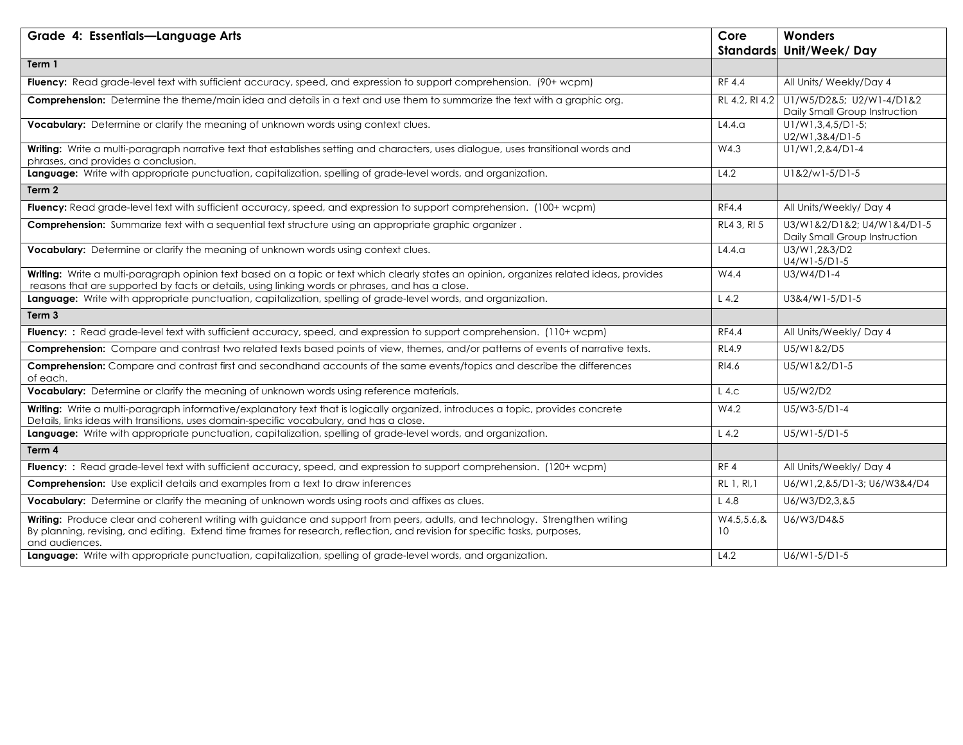| Grade 4: Essentials-Language Arts                                                                                                                                                                                                                                             | Core               | Wonders<br>Standards Unit/Week/Day                          |
|-------------------------------------------------------------------------------------------------------------------------------------------------------------------------------------------------------------------------------------------------------------------------------|--------------------|-------------------------------------------------------------|
| Term 1                                                                                                                                                                                                                                                                        |                    |                                                             |
| Fluency: Read grade-level text with sufficient accuracy, speed, and expression to support comprehension. (90+ wcpm)                                                                                                                                                           | <b>RF 4.4</b>      | All Units/ Weekly/Day 4                                     |
| Comprehension: Determine the theme/main idea and details in a text and use them to summarize the text with a graphic org.                                                                                                                                                     | RL 4.2, RI 4.2     | U1/W5/D2&5; U2/W1-4/D1&2<br>Daily Small Group Instruction   |
| Vocabulary: Determine or clarify the meaning of unknown words using context clues.                                                                                                                                                                                            | L4.4.9             | U1/W1,3,4,5/D1-5;<br>U2/W1,3&4/D1-5                         |
| Writing: Write a multi-paragraph narrative text that establishes setting and characters, uses dialogue, uses transitional words and<br>phrases, and provides a conclusion.                                                                                                    | W4.3               | U1/W1,2,&4/D1-4                                             |
| Language: Write with appropriate punctuation, capitalization, spelling of grade-level words, and organization.                                                                                                                                                                | L4.2               | U1&2/w1-5/D1-5                                              |
| Term 2                                                                                                                                                                                                                                                                        |                    |                                                             |
| Fluency: Read grade-level text with sufficient accuracy, speed, and expression to support comprehension. (100+ wcpm)                                                                                                                                                          | <b>RF4.4</b>       | All Units/Weekly/Day 4                                      |
| Comprehension: Summarize text with a sequential text structure using an appropriate graphic organizer.                                                                                                                                                                        | RL4 3, RI 5        | U3/W1&2/D1&2; U4/W1&4/D1-5<br>Daily Small Group Instruction |
| Vocabulary: Determine or clarify the meaning of unknown words using context clues.                                                                                                                                                                                            | L4.4.9             | U3/W1,2&3/D2<br>$U4/W1-5/D1-5$                              |
| Writing: Write a multi-paragraph opinion text based on a topic or text which clearly states an opinion, organizes related ideas, provides<br>reasons that are supported by facts or details, using linking words or phrases, and has a close.                                 | W4.4               | U3/W4/D1-4                                                  |
| Language: Write with appropriate punctuation, capitalization, spelling of grade-level words, and organization.                                                                                                                                                                | $L$ 4.2            | U3&4/W1-5/D1-5                                              |
| Term 3                                                                                                                                                                                                                                                                        |                    |                                                             |
| Fluency: : Read grade-level text with sufficient accuracy, speed, and expression to support comprehension. (110+ wcpm)                                                                                                                                                        | <b>RF4.4</b>       | All Units/Weekly/Day 4                                      |
| Comprehension: Compare and contrast two related texts based points of view, themes, and/or patterns of events of narrative texts.                                                                                                                                             | <b>RL4.9</b>       | U5/W1&2/D5                                                  |
| Comprehension: Compare and contrast first and secondhand accounts of the same events/topics and describe the differences<br>of each.                                                                                                                                          | RI4.6              | U5/W1&2/D1-5                                                |
| Vocabulary: Determine or clarify the meaning of unknown words using reference materials.                                                                                                                                                                                      | $L$ 4.c            | U5/W2/D2                                                    |
| Writing: Write a multi-paragraph informative/explanatory text that is logically organized, introduces a topic, provides concrete<br>Details, links ideas with transitions, uses domain-specific vocabulary, and has a close.                                                  | W4.2               | U5/W3-5/D1-4                                                |
| Language: Write with appropriate punctuation, capitalization, spelling of grade-level words, and organization.                                                                                                                                                                | $L$ 4.2            | U5/W1-5/D1-5                                                |
| Term 4                                                                                                                                                                                                                                                                        |                    |                                                             |
| Fluency: : Read grade-level text with sufficient accuracy, speed, and expression to support comprehension. (120+ wcpm)                                                                                                                                                        | RF4                | All Units/Weekly/Day 4                                      |
| <b>Comprehension:</b> Use explicit details and examples from a text to draw inferences                                                                                                                                                                                        | RL 1, RI, 1        | U6/W1,2,&5/D1-3; U6/W3&4/D4                                 |
| Vocabulary: Determine or clarify the meaning of unknown words using roots and affixes as clues.                                                                                                                                                                               | L4.8               | U6/W3/D2,3,&5                                               |
| Writing: Produce clear and coherent writing with guidance and support from peers, adults, and technology. Strengthen writing<br>By planning, revising, and editing. Extend time frames for research, reflection, and revision for specific tasks, purposes,<br>and audiences. | W4.5, 5.6, 8<br>10 | U6/W3/D4&5                                                  |
| Language: Write with appropriate punctuation, capitalization, spelling of grade-level words, and organization.                                                                                                                                                                | L4.2               | U6/W1-5/D1-5                                                |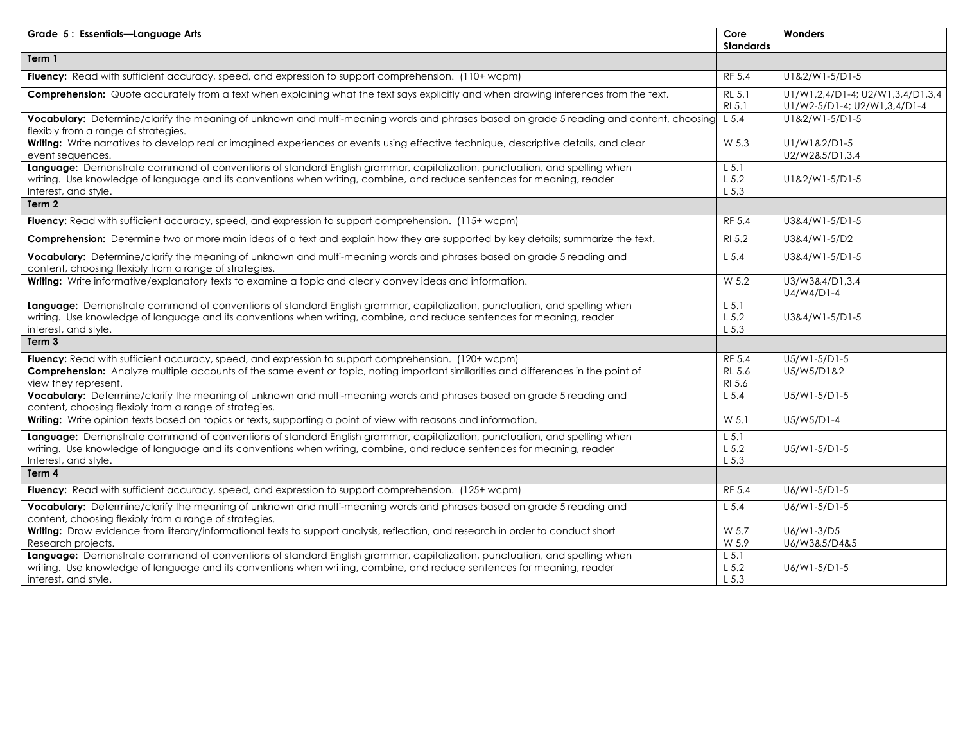| Grade 5: Essentials-Language Arts                                                                                                                                                                                                                                          | Core<br><b>Standards</b>                | Wonders                                                          |
|----------------------------------------------------------------------------------------------------------------------------------------------------------------------------------------------------------------------------------------------------------------------------|-----------------------------------------|------------------------------------------------------------------|
| Term 1                                                                                                                                                                                                                                                                     |                                         |                                                                  |
| Fluency: Read with sufficient accuracy, speed, and expression to support comprehension. (110+ wcpm)                                                                                                                                                                        | RF 5.4                                  | U1&2/W1-5/D1-5                                                   |
| Comprehension: Quote accurately from a text when explaining what the text says explicitly and when drawing inferences from the text.                                                                                                                                       | RL 5.1<br>RI 5.1                        | U1/W1,2,4/D1-4; U2/W1,3,4/D1,3,4<br>U1/W2-5/D1-4; U2/W1,3,4/D1-4 |
| Vocabulary: Determine/clarify the meaning of unknown and multi-meaning words and phrases based on grade 5 reading and content, choosing<br>flexibly from a range of strategies.                                                                                            | $L$ 5.4                                 | U1&2/W1-5/D1-5                                                   |
| Writing: Write narratives to develop real or imagined experiences or events using effective technique, descriptive details, and clear<br>event sequences.                                                                                                                  | W 5.3                                   | U1/W1&2/D1-5<br>U2/W2&5/D1,3,4                                   |
| Language: Demonstrate command of conventions of standard English grammar, capitalization, punctuation, and spelling when<br>writing. Use knowledge of language and its conventions when writing, combine, and reduce sentences for meaning, reader<br>Interest, and style. | $L$ 5.1<br>$L$ 5.2<br>$L$ 5,3           | U1&2/W1-5/D1-5                                                   |
| Term 2                                                                                                                                                                                                                                                                     |                                         |                                                                  |
| Fluency: Read with sufficient accuracy, speed, and expression to support comprehension. (115+ wcpm)                                                                                                                                                                        | RF 5.4                                  | U3&4/W1-5/D1-5                                                   |
| Comprehension: Determine two or more main ideas of a text and explain how they are supported by key details; summarize the text.                                                                                                                                           | RI 5.2                                  | U3&4/W1-5/D2                                                     |
| Vocabulary: Determine/clarify the meaning of unknown and multi-meaning words and phrases based on grade 5 reading and<br>content, choosing flexibly from a range of strategies.                                                                                            | $L$ 5.4                                 | U3&4/W1-5/D1-5                                                   |
| Writing: Write informative/explanatory texts to examine a topic and clearly convey ideas and information.                                                                                                                                                                  | $\overline{W}$ 5.2                      | U3/W3&4/D1,3,4<br>U4/W4/D1-4                                     |
| Language: Demonstrate command of conventions of standard English grammar, capitalization, punctuation, and spelling when<br>writing. Use knowledge of language and its conventions when writing, combine, and reduce sentences for meaning, reader<br>interest, and style. | $L$ 5.1<br>$L$ 5.2<br>$L$ 5,3           | U3&4/W1-5/D1-5                                                   |
| Term 3                                                                                                                                                                                                                                                                     |                                         |                                                                  |
| <b>Fluency:</b> Read with sufficient accuracy, speed, and expression to support comprehension. (120+ wcpm)                                                                                                                                                                 | RF 5.4                                  | U5/W1-5/D1-5                                                     |
| Comprehension: Analyze multiple accounts of the same event or topic, noting important similarities and differences in the point of<br>view they represent.                                                                                                                 | <b>RL 5.6</b><br>RI 5.6                 | U5/W5/D1&2                                                       |
| Vocabulary: Determine/clarify the meaning of unknown and multi-meaning words and phrases based on grade 5 reading and<br>content, choosing flexibly from a range of strategies.                                                                                            | $L$ 5.4                                 | U5/W1-5/D1-5                                                     |
| Writing: Write opinion texts based on topics or texts, supporting a point of view with reasons and information.                                                                                                                                                            | W 5.1                                   | $U5/W5/D1-4$                                                     |
| Language: Demonstrate command of conventions of standard English grammar, capitalization, punctuation, and spelling when<br>writing. Use knowledge of language and its conventions when writing, combine, and reduce sentences for meaning, reader<br>Interest, and style. | $\overline{L5.1}$<br>$L$ 5.2<br>$L$ 5.3 | U5/W1-5/D1-5                                                     |
| Term $\overline{4}$                                                                                                                                                                                                                                                        |                                         |                                                                  |
| Fluency: Read with sufficient accuracy, speed, and expression to support comprehension. (125+ wcpm)                                                                                                                                                                        | RF 5.4                                  | U6/W1-5/D1-5                                                     |
| Vocabulary: Determine/clarify the meaning of unknown and multi-meaning words and phrases based on grade 5 reading and<br>content, choosing flexibly from a range of strategies.                                                                                            | L <sub>5.4</sub>                        | U6/W1-5/D1-5                                                     |
| Writing: Draw evidence from literary/informational texts to support analysis, reflection, and research in order to conduct short<br>Research projects.                                                                                                                     | W 5.7<br>W 5.9                          | U6/W1-3/D5<br>U6/W3&5/D4&5                                       |
| Language: Demonstrate command of conventions of standard English grammar, capitalization, punctuation, and spelling when<br>writing. Use knowledge of language and its conventions when writing, combine, and reduce sentences for meaning, reader<br>interest, and style. | $L$ 5.1<br>$L$ 5.2<br>$L$ 5,3           | U6/W1-5/D1-5                                                     |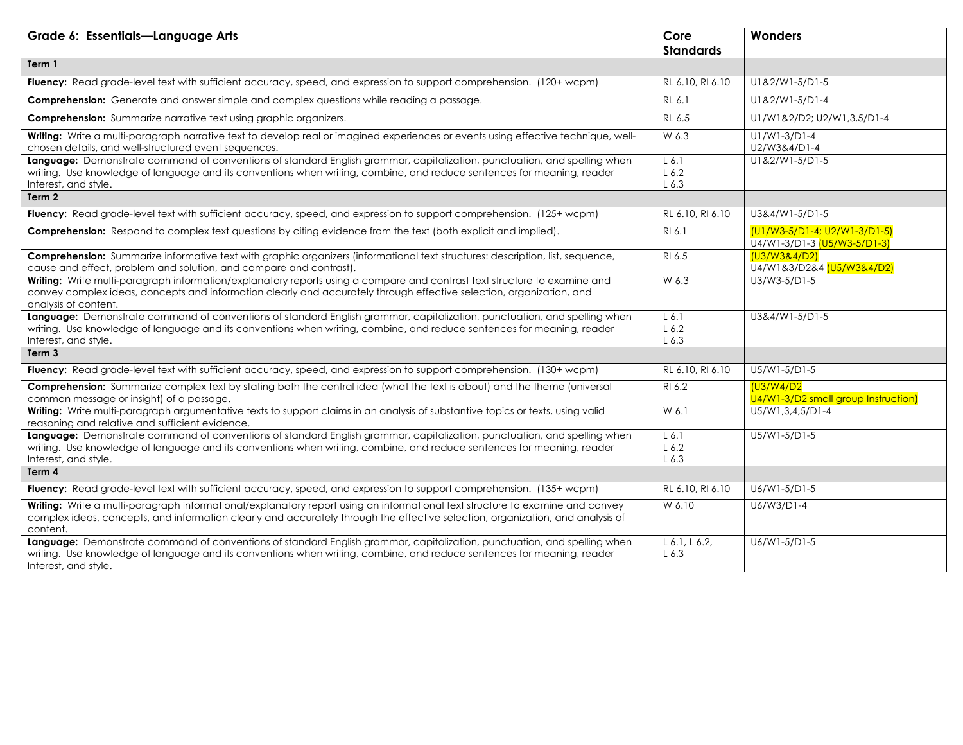| Grade 6: Essentials-Language Arts                                                                                                                                                                                                                                           | Core                          | Wonders                                                       |
|-----------------------------------------------------------------------------------------------------------------------------------------------------------------------------------------------------------------------------------------------------------------------------|-------------------------------|---------------------------------------------------------------|
|                                                                                                                                                                                                                                                                             | <b>Standards</b>              |                                                               |
| Term 1                                                                                                                                                                                                                                                                      |                               |                                                               |
| Fluency: Read grade-level text with sufficient accuracy, speed, and expression to support comprehension. (120+ wcpm)                                                                                                                                                        | RL 6.10, RI 6.10              | U1&2/W1-5/D1-5                                                |
| <b>Comprehension:</b> Generate and answer simple and complex questions while reading a passage.                                                                                                                                                                             | RL 6.1                        | U1&2/W1-5/D1-4                                                |
| <b>Comprehension:</b> Summarize narrative text using graphic organizers.                                                                                                                                                                                                    | RL 6.5                        | U1/W1&2/D2; U2/W1,3,5/D1-4                                    |
| Writing: Write a multi-paragraph narrative text to develop real or imagined experiences or events using effective technique, well-<br>chosen details, and well-structured event sequences.                                                                                  | W 6.3                         | $UI/W1-3/D1-4$<br>U2/W3&4/D1-4                                |
| Language: Demonstrate command of conventions of standard English grammar, capitalization, punctuation, and spelling when<br>writing. Use knowledge of language and its conventions when writing, combine, and reduce sentences for meaning, reader<br>Interest, and style.  | $L$ 6.1<br>$L$ 6.2<br>$L$ 6.3 | U1&2/W1-5/D1-5                                                |
| Term 2                                                                                                                                                                                                                                                                      |                               |                                                               |
| Fluency: Read grade-level text with sufficient accuracy, speed, and expression to support comprehension. (125+ wcpm)                                                                                                                                                        | RL 6.10, RI 6.10              | U3&4/W1-5/D1-5                                                |
| <b>Comprehension:</b> Respond to complex text questions by citing evidence from the text (both explicit and implied).                                                                                                                                                       | RI 6.1                        | $(U1/W3-5/D1-4; U2/W1-3/D1-5)$<br>U4/W1-3/D1-3 (U5/W3-5/D1-3) |
| Comprehension: Summarize informative text with graphic organizers (informational text structures: description, list, sequence,<br>cause and effect, problem and solution, and compare and contrast).                                                                        | RI 6.5                        | (U3/W3&4/D2)<br>U4/W1&3/D2&4 (U5/W3&4/D2)                     |
| Writing: Write multi-paragraph information/explanatory reports using a compare and contrast text structure to examine and<br>convey complex ideas, concepts and information clearly and accurately through effective selection, organization, and<br>analysis of content.   | W 6.3                         | U3/W3-5/D1-5                                                  |
| Language: Demonstrate command of conventions of standard English grammar, capitalization, punctuation, and spelling when<br>writing. Use knowledge of language and its conventions when writing, combine, and reduce sentences for meaning, reader<br>Interest, and style.  | $L$ 6.1<br>$L$ 6.2<br>$L$ 6.3 | U3&4/W1-5/D1-5                                                |
| Term 3                                                                                                                                                                                                                                                                      |                               |                                                               |
| Fluency: Read grade-level text with sufficient accuracy, speed, and expression to support comprehension. (130+ wcpm)                                                                                                                                                        | RL 6.10, RI 6.10              | U5/W1-5/D1-5                                                  |
| Comprehension: Summarize complex text by stating both the central idea (what the text is about) and the theme (universal<br>common message or insight) of a passage.                                                                                                        | RI 6.2                        | (U3/W4/D2<br>U4/W1-3/D2 small group Instruction)              |
| Writing: Write multi-paragraph argumentative texts to support claims in an analysis of substantive topics or texts, using valid<br>reasoning and relative and sufficient evidence.                                                                                          | W 6.1                         | $U5/W1, 3, 4, 5/D1-4$                                         |
| Language: Demonstrate command of conventions of standard English grammar, capitalization, punctuation, and spelling when<br>writing. Use knowledge of language and its conventions when writing, combine, and reduce sentences for meaning, reader<br>Interest, and style.  | $L$ 6.1<br>$L$ 6.2<br>$L$ 6.3 | U5/W1-5/D1-5                                                  |
| Term 4                                                                                                                                                                                                                                                                      |                               |                                                               |
| Fluency: Read grade-level text with sufficient accuracy, speed, and expression to support comprehension. (135+ wcpm)                                                                                                                                                        | RL 6.10, RI 6.10              | U6/W1-5/D1-5                                                  |
| Writing: Write a multi-paragraph informational/explanatory report using an informational text structure to examine and convey<br>complex ideas, concepts, and information clearly and accurately through the effective selection, organization, and analysis of<br>content. | W 6.10                        | U6/W3/D1-4                                                    |
| Language: Demonstrate command of conventions of standard English grammar, capitalization, punctuation, and spelling when<br>writing. Use knowledge of language and its conventions when writing, combine, and reduce sentences for meaning, reader<br>Interest, and style.  | L 6.1, L 6.2,<br>$L$ 6.3      | U6/W1-5/D1-5                                                  |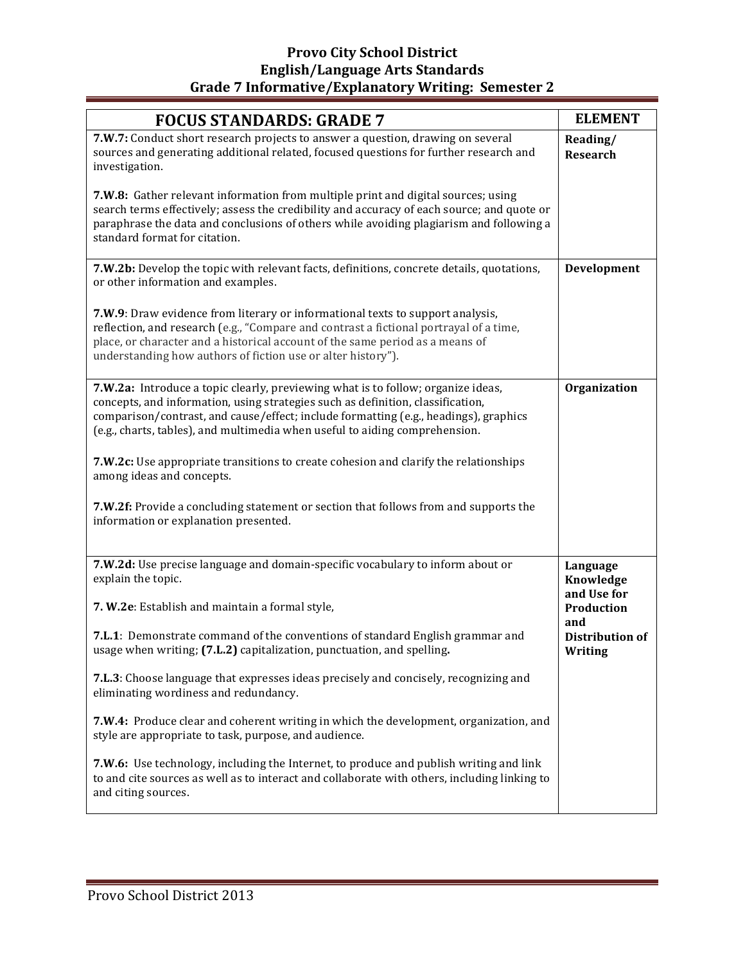### **Provo City School District English/Language Arts Standards** Grade 7 Informative/Explanatory Writing: Semester 2

| <b>FOCUS STANDARDS: GRADE 7</b>                                                                                                                                                                                                                                                                                                            | <b>ELEMENT</b>                           |
|--------------------------------------------------------------------------------------------------------------------------------------------------------------------------------------------------------------------------------------------------------------------------------------------------------------------------------------------|------------------------------------------|
| 7.W.7: Conduct short research projects to answer a question, drawing on several<br>sources and generating additional related, focused questions for further research and<br>investigation.                                                                                                                                                 | Reading/<br><b>Research</b>              |
| 7.W.8: Gather relevant information from multiple print and digital sources; using<br>search terms effectively; assess the credibility and accuracy of each source; and quote or<br>paraphrase the data and conclusions of others while avoiding plagiarism and following a<br>standard format for citation.                                |                                          |
| 7.W.2b: Develop the topic with relevant facts, definitions, concrete details, quotations,<br>or other information and examples.                                                                                                                                                                                                            | Development                              |
| 7.W.9: Draw evidence from literary or informational texts to support analysis,<br>reflection, and research (e.g., "Compare and contrast a fictional portrayal of a time,<br>place, or character and a historical account of the same period as a means of<br>understanding how authors of fiction use or alter history").                  |                                          |
| 7.W.2a: Introduce a topic clearly, previewing what is to follow; organize ideas,<br>concepts, and information, using strategies such as definition, classification,<br>comparison/contrast, and cause/effect; include formatting (e.g., headings), graphics<br>(e.g., charts, tables), and multimedia when useful to aiding comprehension. | Organization                             |
| <b>7.W.2c:</b> Use appropriate transitions to create cohesion and clarify the relationships<br>among ideas and concepts.                                                                                                                                                                                                                   |                                          |
| <b>7.W.2f:</b> Provide a concluding statement or section that follows from and supports the<br>information or explanation presented.                                                                                                                                                                                                       |                                          |
| 7.W.2d: Use precise language and domain-specific vocabulary to inform about or<br>explain the topic.                                                                                                                                                                                                                                       | Language<br>Knowledge                    |
| 7. W.2e: Establish and maintain a formal style,                                                                                                                                                                                                                                                                                            | and Use for<br>Production                |
| <b>7.L.1:</b> Demonstrate command of the conventions of standard English grammar and<br>usage when writing; (7.L.2) capitalization, punctuation, and spelling.                                                                                                                                                                             | and<br><b>Distribution of</b><br>Writing |
| 7.L.3: Choose language that expresses ideas precisely and concisely, recognizing and<br>eliminating wordiness and redundancy.                                                                                                                                                                                                              |                                          |
| 7.W.4: Produce clear and coherent writing in which the development, organization, and<br>style are appropriate to task, purpose, and audience.                                                                                                                                                                                             |                                          |
| 7.W.6: Use technology, including the Internet, to produce and publish writing and link<br>to and cite sources as well as to interact and collaborate with others, including linking to<br>and citing sources.                                                                                                                              |                                          |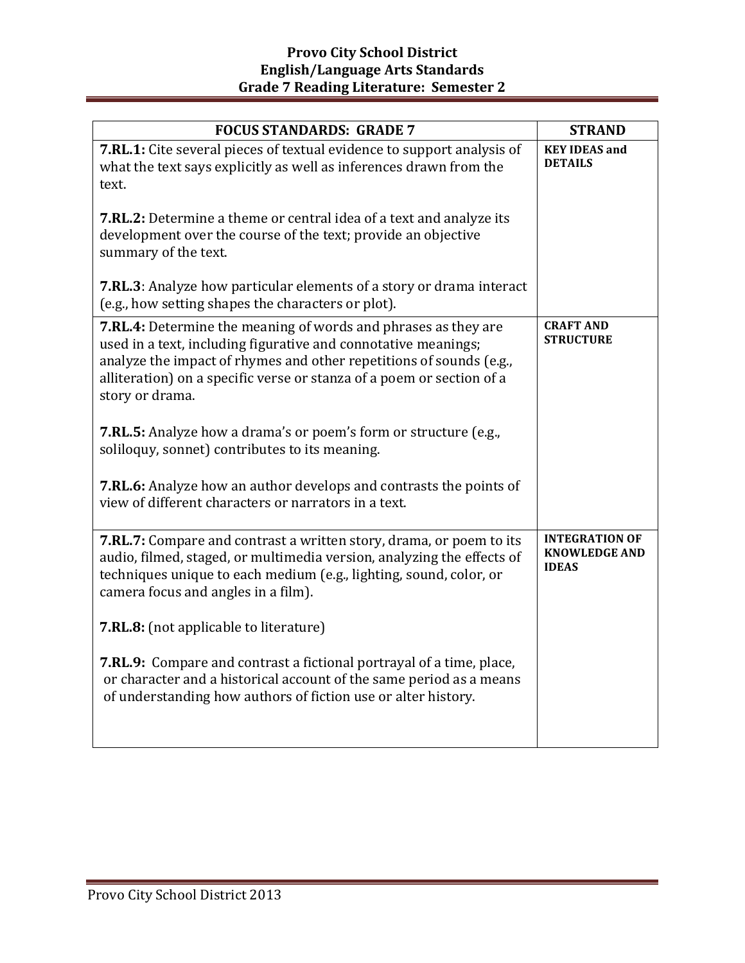| <b>FOCUS STANDARDS: GRADE 7</b>                                                                                                                                                                                                                                                                     | <b>STRAND</b>                                                 |
|-----------------------------------------------------------------------------------------------------------------------------------------------------------------------------------------------------------------------------------------------------------------------------------------------------|---------------------------------------------------------------|
| <b>7.RL.1:</b> Cite several pieces of textual evidence to support analysis of<br>what the text says explicitly as well as inferences drawn from the<br>text.                                                                                                                                        | <b>KEY IDEAS and</b><br><b>DETAILS</b>                        |
| <b>7.RL.2:</b> Determine a theme or central idea of a text and analyze its<br>development over the course of the text; provide an objective<br>summary of the text.                                                                                                                                 |                                                               |
| <b>7.RL.3</b> : Analyze how particular elements of a story or drama interact<br>(e.g., how setting shapes the characters or plot).                                                                                                                                                                  |                                                               |
| 7.RL.4: Determine the meaning of words and phrases as they are<br>used in a text, including figurative and connotative meanings;<br>analyze the impact of rhymes and other repetitions of sounds (e.g.,<br>alliteration) on a specific verse or stanza of a poem or section of a<br>story or drama. | <b>CRAFT AND</b><br><b>STRUCTURE</b>                          |
| 7.RL.5: Analyze how a drama's or poem's form or structure (e.g.,<br>soliloquy, sonnet) contributes to its meaning.                                                                                                                                                                                  |                                                               |
| 7.RL.6: Analyze how an author develops and contrasts the points of<br>view of different characters or narrators in a text.                                                                                                                                                                          |                                                               |
| 7.RL.7: Compare and contrast a written story, drama, or poem to its<br>audio, filmed, staged, or multimedia version, analyzing the effects of<br>techniques unique to each medium (e.g., lighting, sound, color, or<br>camera focus and angles in a film).                                          | <b>INTEGRATION OF</b><br><b>KNOWLEDGE AND</b><br><b>IDEAS</b> |
| 7.RL.8: (not applicable to literature)                                                                                                                                                                                                                                                              |                                                               |
| <b>7.RL.9:</b> Compare and contrast a fictional portrayal of a time, place,<br>or character and a historical account of the same period as a means<br>of understanding how authors of fiction use or alter history.                                                                                 |                                                               |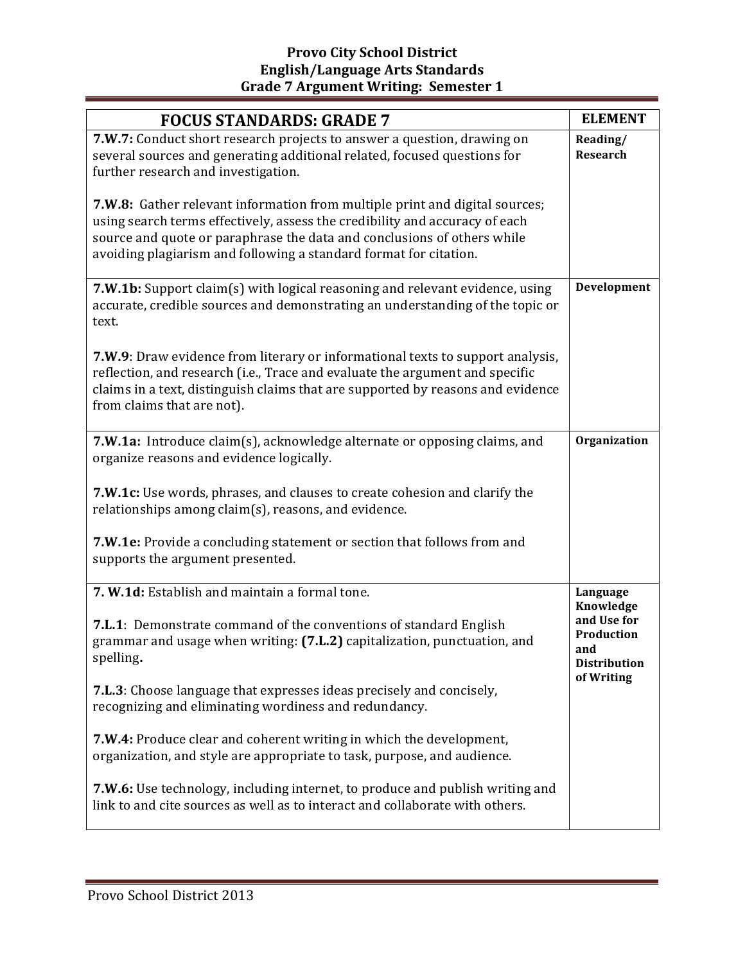## **Provo City School District English/Language Arts Standards Grade 7 Argument Writing: Semester 1**

| <b>FOCUS STANDARDS: GRADE 7</b>                                                                                                                                                                                                                                                                            | <b>ELEMENT</b>                                                       |
|------------------------------------------------------------------------------------------------------------------------------------------------------------------------------------------------------------------------------------------------------------------------------------------------------------|----------------------------------------------------------------------|
| 7.W.7: Conduct short research projects to answer a question, drawing on<br>several sources and generating additional related, focused questions for<br>further research and investigation.                                                                                                                 | Reading/<br>Research                                                 |
| 7.W.8: Gather relevant information from multiple print and digital sources;<br>using search terms effectively, assess the credibility and accuracy of each<br>source and quote or paraphrase the data and conclusions of others while<br>avoiding plagiarism and following a standard format for citation. |                                                                      |
| 7.W.1b: Support claim(s) with logical reasoning and relevant evidence, using<br>accurate, credible sources and demonstrating an understanding of the topic or<br>text.                                                                                                                                     | Development                                                          |
| 7.W.9: Draw evidence from literary or informational texts to support analysis,<br>reflection, and research (i.e., Trace and evaluate the argument and specific<br>claims in a text, distinguish claims that are supported by reasons and evidence<br>from claims that are not).                            |                                                                      |
| 7.W.1a: Introduce claim(s), acknowledge alternate or opposing claims, and<br>organize reasons and evidence logically.                                                                                                                                                                                      | Organization                                                         |
| 7.W.1c: Use words, phrases, and clauses to create cohesion and clarify the<br>relationships among claim(s), reasons, and evidence.                                                                                                                                                                         |                                                                      |
| 7.W.1e: Provide a concluding statement or section that follows from and<br>supports the argument presented.                                                                                                                                                                                                |                                                                      |
| 7. W.1d: Establish and maintain a formal tone.                                                                                                                                                                                                                                                             | Language                                                             |
| <b>7.L.1:</b> Demonstrate command of the conventions of standard English<br>grammar and usage when writing: (7.L.2) capitalization, punctuation, and<br>spelling.                                                                                                                                          | Knowledge<br>and Use for<br>Production<br>and<br><b>Distribution</b> |
| <b>7.L.3</b> : Choose language that expresses ideas precisely and concisely,<br>recognizing and eliminating wordiness and redundancy.                                                                                                                                                                      | of Writing                                                           |
| 7.W.4: Produce clear and coherent writing in which the development,<br>organization, and style are appropriate to task, purpose, and audience.                                                                                                                                                             |                                                                      |
| 7.W.6: Use technology, including internet, to produce and publish writing and<br>link to and cite sources as well as to interact and collaborate with others.                                                                                                                                              |                                                                      |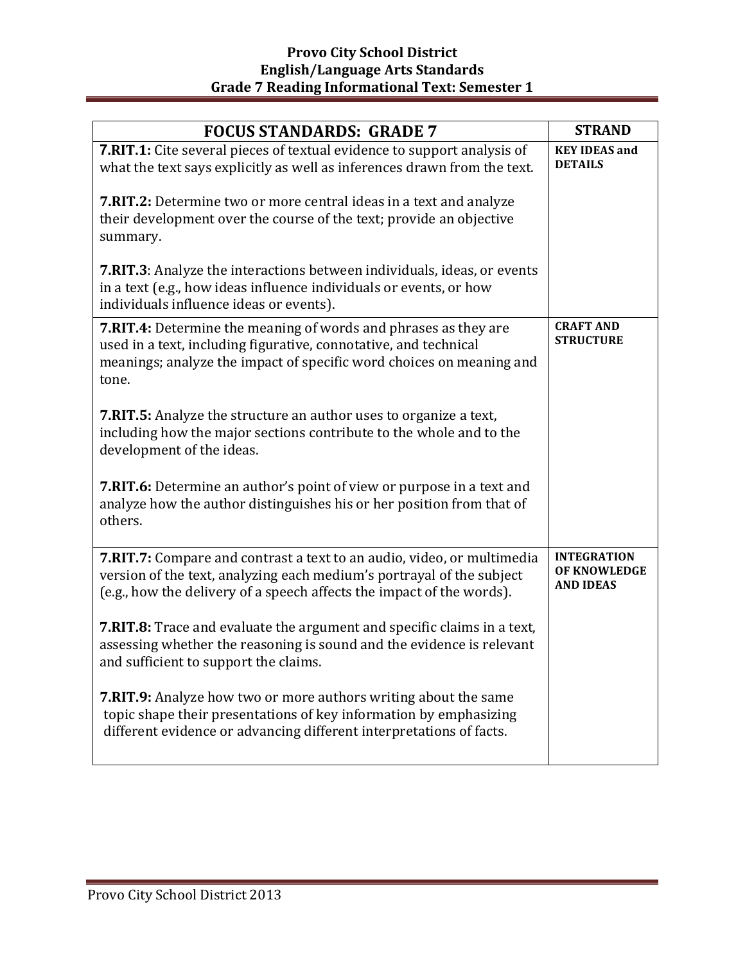| <b>FOCUS STANDARDS: GRADE 7</b>                                                                                                                                                                                             | <b>STRAND</b>                                          |
|-----------------------------------------------------------------------------------------------------------------------------------------------------------------------------------------------------------------------------|--------------------------------------------------------|
| 7.RIT.1: Cite several pieces of textual evidence to support analysis of<br>what the text says explicitly as well as inferences drawn from the text.                                                                         | <b>KEY IDEAS and</b><br><b>DETAILS</b>                 |
| <b>7.RIT.2:</b> Determine two or more central ideas in a text and analyze<br>their development over the course of the text; provide an objective<br>summary.                                                                |                                                        |
| <b>7.RIT.3</b> : Analyze the interactions between individuals, ideas, or events<br>in a text (e.g., how ideas influence individuals or events, or how<br>individuals influence ideas or events).                            |                                                        |
| <b>7.RIT.4:</b> Determine the meaning of words and phrases as they are<br>used in a text, including figurative, connotative, and technical<br>meanings; analyze the impact of specific word choices on meaning and<br>tone. | <b>CRAFT AND</b><br><b>STRUCTURE</b>                   |
| <b>7.RIT.5:</b> Analyze the structure an author uses to organize a text,<br>including how the major sections contribute to the whole and to the<br>development of the ideas.                                                |                                                        |
| <b>7.RIT.6:</b> Determine an author's point of view or purpose in a text and<br>analyze how the author distinguishes his or her position from that of<br>others.                                                            |                                                        |
| 7.RIT.7: Compare and contrast a text to an audio, video, or multimedia<br>version of the text, analyzing each medium's portrayal of the subject<br>(e.g., how the delivery of a speech affects the impact of the words).    | <b>INTEGRATION</b><br>OF KNOWLEDGE<br><b>AND IDEAS</b> |
| 7.RIT.8: Trace and evaluate the argument and specific claims in a text,<br>assessing whether the reasoning is sound and the evidence is relevant<br>and sufficient to support the claims.                                   |                                                        |
| <b>7.RIT.9:</b> Analyze how two or more authors writing about the same<br>topic shape their presentations of key information by emphasizing<br>different evidence or advancing different interpretations of facts.          |                                                        |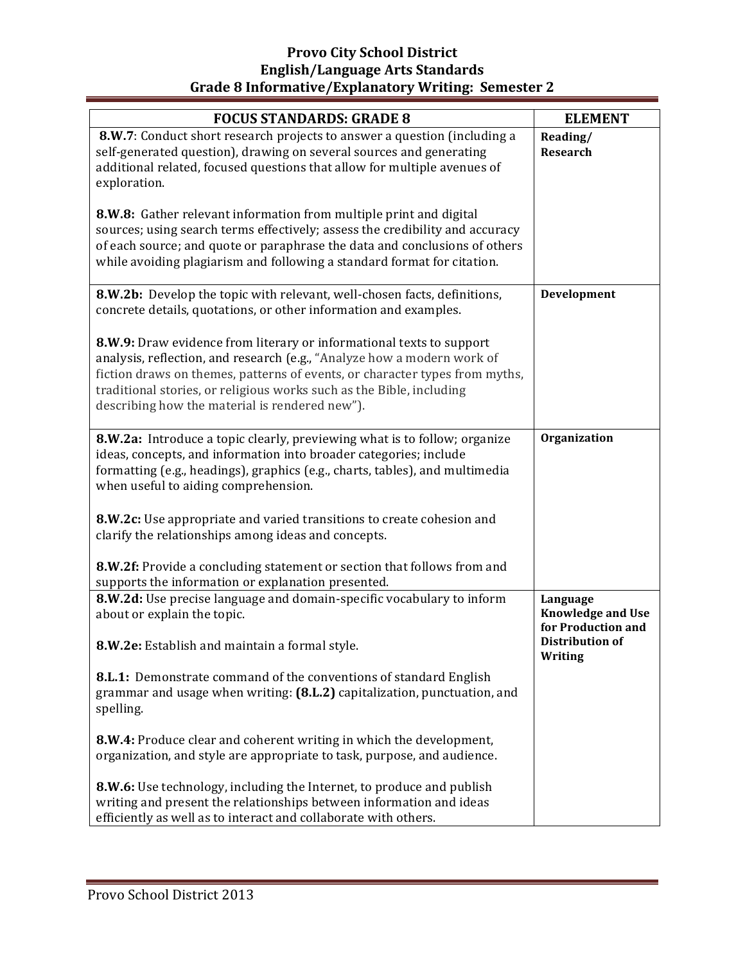# **Provo City School District English/Language Arts Standards** Grade 8 Informative/Explanatory Writing: Semester 2

| <b>FOCUS STANDARDS: GRADE 8</b>                                                                                                                                                                                                                                                                                                                          | <b>ELEMENT</b>                                                                       |
|----------------------------------------------------------------------------------------------------------------------------------------------------------------------------------------------------------------------------------------------------------------------------------------------------------------------------------------------------------|--------------------------------------------------------------------------------------|
| 8.W.7: Conduct short research projects to answer a question (including a<br>self-generated question), drawing on several sources and generating<br>additional related, focused questions that allow for multiple avenues of<br>exploration.                                                                                                              | Reading/<br><b>Research</b>                                                          |
| 8.W.8: Gather relevant information from multiple print and digital<br>sources; using search terms effectively; assess the credibility and accuracy<br>of each source; and quote or paraphrase the data and conclusions of others<br>while avoiding plagiarism and following a standard format for citation.                                              |                                                                                      |
| 8.W.2b: Develop the topic with relevant, well-chosen facts, definitions,<br>concrete details, quotations, or other information and examples.                                                                                                                                                                                                             | Development                                                                          |
| 8.W.9: Draw evidence from literary or informational texts to support<br>analysis, reflection, and research (e.g., "Analyze how a modern work of<br>fiction draws on themes, patterns of events, or character types from myths,<br>traditional stories, or religious works such as the Bible, including<br>describing how the material is rendered new"). |                                                                                      |
| 8.W.2a: Introduce a topic clearly, previewing what is to follow; organize<br>ideas, concepts, and information into broader categories; include<br>formatting (e.g., headings), graphics (e.g., charts, tables), and multimedia<br>when useful to aiding comprehension.                                                                                   | Organization                                                                         |
| 8.W.2c: Use appropriate and varied transitions to create cohesion and<br>clarify the relationships among ideas and concepts.                                                                                                                                                                                                                             |                                                                                      |
| 8.W.2f: Provide a concluding statement or section that follows from and<br>supports the information or explanation presented.                                                                                                                                                                                                                            |                                                                                      |
| 8.W.2d: Use precise language and domain-specific vocabulary to inform<br>about or explain the topic.                                                                                                                                                                                                                                                     | Language<br><b>Knowledge and Use</b><br>for Production and<br><b>Distribution of</b> |
| 8.W.2e: Establish and maintain a formal style.                                                                                                                                                                                                                                                                                                           | Writing                                                                              |
| <b>8.L.1:</b> Demonstrate command of the conventions of standard English<br>grammar and usage when writing: (8.L.2) capitalization, punctuation, and<br>spelling.                                                                                                                                                                                        |                                                                                      |
| 8.W.4: Produce clear and coherent writing in which the development,<br>organization, and style are appropriate to task, purpose, and audience.                                                                                                                                                                                                           |                                                                                      |
| 8.W.6: Use technology, including the Internet, to produce and publish<br>writing and present the relationships between information and ideas<br>efficiently as well as to interact and collaborate with others.                                                                                                                                          |                                                                                      |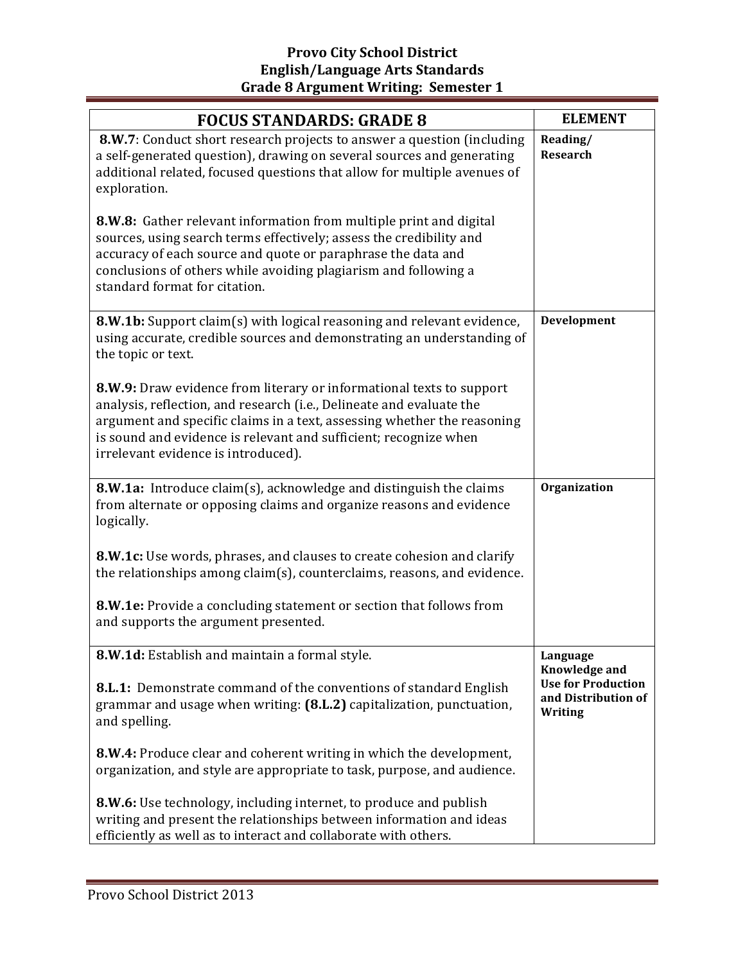| <b>FOCUS STANDARDS: GRADE 8</b>                                                                                                                                                                                                                                                                                                    | <b>ELEMENT</b>                                              |
|------------------------------------------------------------------------------------------------------------------------------------------------------------------------------------------------------------------------------------------------------------------------------------------------------------------------------------|-------------------------------------------------------------|
| 8.W.7: Conduct short research projects to answer a question (including<br>a self-generated question), drawing on several sources and generating<br>additional related, focused questions that allow for multiple avenues of<br>exploration.                                                                                        | Reading/<br><b>Research</b>                                 |
| 8.W.8: Gather relevant information from multiple print and digital<br>sources, using search terms effectively; assess the credibility and<br>accuracy of each source and quote or paraphrase the data and<br>conclusions of others while avoiding plagiarism and following a<br>standard format for citation.                      |                                                             |
| 8.W.1b: Support claim(s) with logical reasoning and relevant evidence,<br>using accurate, credible sources and demonstrating an understanding of<br>the topic or text.                                                                                                                                                             | Development                                                 |
| 8.W.9: Draw evidence from literary or informational texts to support<br>analysis, reflection, and research (i.e., Delineate and evaluate the<br>argument and specific claims in a text, assessing whether the reasoning<br>is sound and evidence is relevant and sufficient; recognize when<br>irrelevant evidence is introduced). |                                                             |
| 8.W.1a: Introduce claim(s), acknowledge and distinguish the claims<br>from alternate or opposing claims and organize reasons and evidence<br>logically.                                                                                                                                                                            | Organization                                                |
| 8.W.1c: Use words, phrases, and clauses to create cohesion and clarify<br>the relationships among claim(s), counterclaims, reasons, and evidence.                                                                                                                                                                                  |                                                             |
| <b>8.W.1e:</b> Provide a concluding statement or section that follows from<br>and supports the argument presented.                                                                                                                                                                                                                 |                                                             |
| 8.W.1d: Establish and maintain a formal style.                                                                                                                                                                                                                                                                                     | Language<br><b>Knowledge and</b>                            |
| <b>8.L.1:</b> Demonstrate command of the conventions of standard English<br>grammar and usage when writing: (8.L.2) capitalization, punctuation,<br>and spelling.                                                                                                                                                                  | <b>Use for Production</b><br>and Distribution of<br>Writing |
| 8.W.4: Produce clear and coherent writing in which the development,<br>organization, and style are appropriate to task, purpose, and audience.                                                                                                                                                                                     |                                                             |
| 8.W.6: Use technology, including internet, to produce and publish<br>writing and present the relationships between information and ideas<br>efficiently as well as to interact and collaborate with others.                                                                                                                        |                                                             |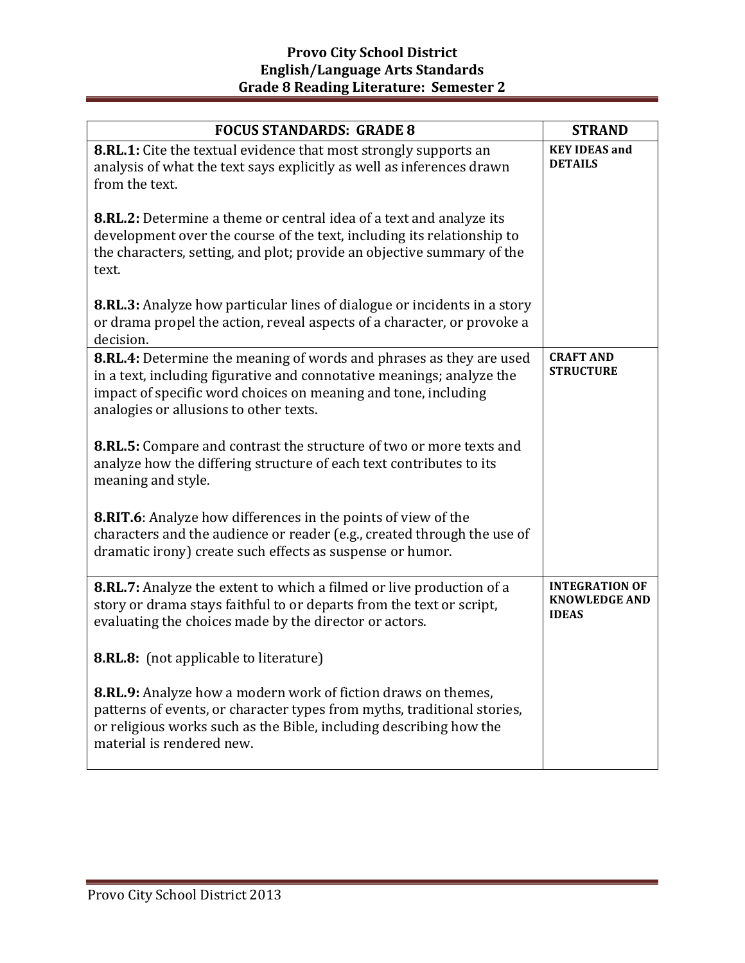| <b>FOCUS STANDARDS: GRADE 8</b>                                                                                                                                                                                                                          | <b>STRAND</b>                                                 |
|----------------------------------------------------------------------------------------------------------------------------------------------------------------------------------------------------------------------------------------------------------|---------------------------------------------------------------|
| <b>8.RL.1:</b> Cite the textual evidence that most strongly supports an<br>analysis of what the text says explicitly as well as inferences drawn<br>from the text.                                                                                       | <b>KEY IDEAS and</b><br><b>DETAILS</b>                        |
| 8.RL.2: Determine a theme or central idea of a text and analyze its<br>development over the course of the text, including its relationship to<br>the characters, setting, and plot; provide an objective summary of the<br>text.                         |                                                               |
| 8.RL.3: Analyze how particular lines of dialogue or incidents in a story<br>or drama propel the action, reveal aspects of a character, or provoke a<br>decision.                                                                                         |                                                               |
| 8.RL.4: Determine the meaning of words and phrases as they are used<br>in a text, including figurative and connotative meanings; analyze the<br>impact of specific word choices on meaning and tone, including<br>analogies or allusions to other texts. | <b>CRAFT AND</b><br><b>STRUCTURE</b>                          |
| 8.RL.5: Compare and contrast the structure of two or more texts and<br>analyze how the differing structure of each text contributes to its<br>meaning and style.                                                                                         |                                                               |
| <b>8.RIT.6</b> : Analyze how differences in the points of view of the<br>characters and the audience or reader (e.g., created through the use of<br>dramatic irony) create such effects as suspense or humor.                                            |                                                               |
| 8.RL.7: Analyze the extent to which a filmed or live production of a<br>story or drama stays faithful to or departs from the text or script,<br>evaluating the choices made by the director or actors.                                                   | <b>INTEGRATION OF</b><br><b>KNOWLEDGE AND</b><br><b>IDEAS</b> |
| 8.RL.8: (not applicable to literature)                                                                                                                                                                                                                   |                                                               |
| <b>8.RL.9:</b> Analyze how a modern work of fiction draws on themes,<br>patterns of events, or character types from myths, traditional stories,<br>or religious works such as the Bible, including describing how the<br>material is rendered new.       |                                                               |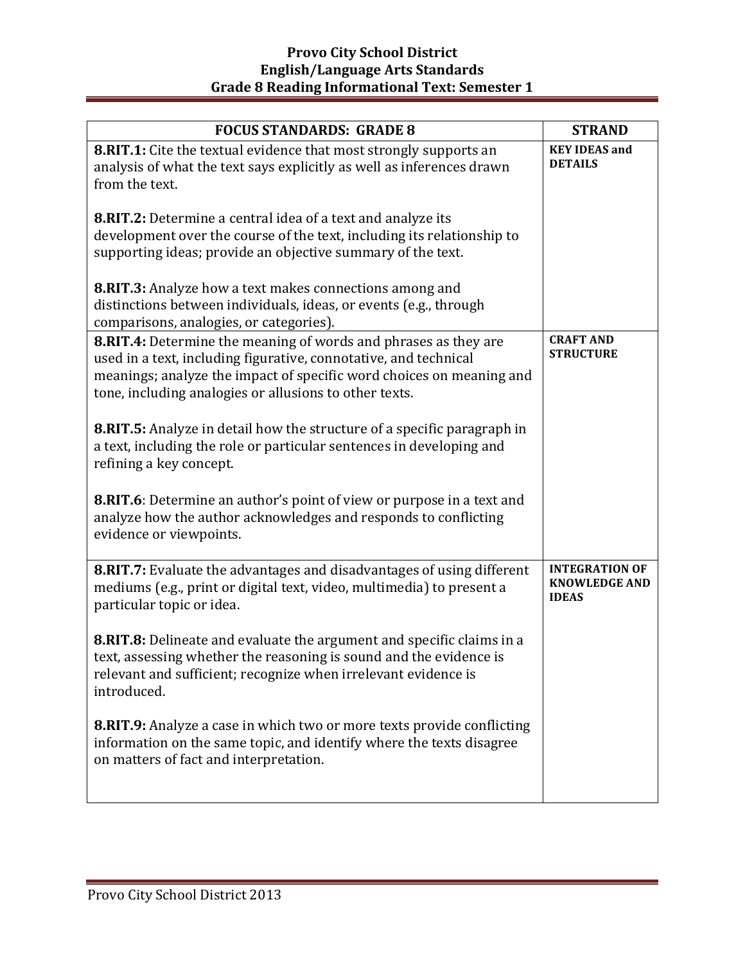| <b>FOCUS STANDARDS: GRADE 8</b>                                                                                                                                                                                                                                              | <b>STRAND</b>                                                 |
|------------------------------------------------------------------------------------------------------------------------------------------------------------------------------------------------------------------------------------------------------------------------------|---------------------------------------------------------------|
| 8.RIT.1: Cite the textual evidence that most strongly supports an<br>analysis of what the text says explicitly as well as inferences drawn<br>from the text.                                                                                                                 | <b>KEY IDEAS and</b><br><b>DETAILS</b>                        |
| 8.RIT.2: Determine a central idea of a text and analyze its<br>development over the course of the text, including its relationship to<br>supporting ideas; provide an objective summary of the text.                                                                         |                                                               |
| <b>8.RIT.3:</b> Analyze how a text makes connections among and<br>distinctions between individuals, ideas, or events (e.g., through<br>comparisons, analogies, or categories).                                                                                               |                                                               |
| <b>8.RIT.4:</b> Determine the meaning of words and phrases as they are<br>used in a text, including figurative, connotative, and technical<br>meanings; analyze the impact of specific word choices on meaning and<br>tone, including analogies or allusions to other texts. | <b>CRAFT AND</b><br><b>STRUCTURE</b>                          |
| <b>8.RIT.5:</b> Analyze in detail how the structure of a specific paragraph in<br>a text, including the role or particular sentences in developing and<br>refining a key concept.                                                                                            |                                                               |
| <b>8.RIT.6</b> : Determine an author's point of view or purpose in a text and<br>analyze how the author acknowledges and responds to conflicting<br>evidence or viewpoints.                                                                                                  |                                                               |
| 8.RIT.7: Evaluate the advantages and disadvantages of using different<br>mediums (e.g., print or digital text, video, multimedia) to present a<br>particular topic or idea.                                                                                                  | <b>INTEGRATION OF</b><br><b>KNOWLEDGE AND</b><br><b>IDEAS</b> |
| <b>8.RIT.8:</b> Delineate and evaluate the argument and specific claims in a<br>text, assessing whether the reasoning is sound and the evidence is<br>relevant and sufficient; recognize when irrelevant evidence is<br>introduced.                                          |                                                               |
| 8.RIT.9: Analyze a case in which two or more texts provide conflicting<br>information on the same topic, and identify where the texts disagree<br>on matters of fact and interpretation.                                                                                     |                                                               |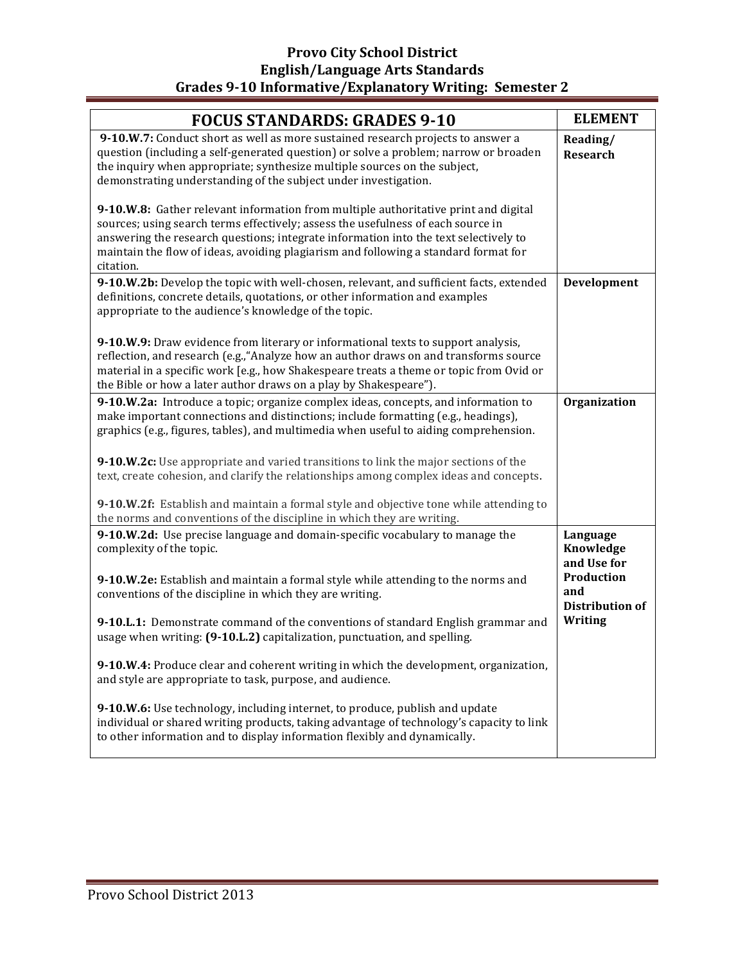# **Provo City School District English/Language Arts Standards Grades 9-10 Informative/Explanatory Writing: Semester 2**

| <b>FOCUS STANDARDS: GRADES 9-10</b>                                                                                                                                                                                                                                                                                                                                 | <b>ELEMENT</b>                                     |
|---------------------------------------------------------------------------------------------------------------------------------------------------------------------------------------------------------------------------------------------------------------------------------------------------------------------------------------------------------------------|----------------------------------------------------|
| 9-10.W.7: Conduct short as well as more sustained research projects to answer a<br>question (including a self-generated question) or solve a problem; narrow or broaden<br>the inquiry when appropriate; synthesize multiple sources on the subject,<br>demonstrating understanding of the subject under investigation.                                             | Reading/<br><b>Research</b>                        |
| 9-10.W.8: Gather relevant information from multiple authoritative print and digital<br>sources; using search terms effectively; assess the usefulness of each source in<br>answering the research questions; integrate information into the text selectively to<br>maintain the flow of ideas, avoiding plagiarism and following a standard format for<br>citation. |                                                    |
| 9-10.W.2b: Develop the topic with well-chosen, relevant, and sufficient facts, extended<br>definitions, concrete details, quotations, or other information and examples<br>appropriate to the audience's knowledge of the topic.                                                                                                                                    | Development                                        |
| 9-10.W.9: Draw evidence from literary or informational texts to support analysis,<br>reflection, and research (e.g., "Analyze how an author draws on and transforms source<br>material in a specific work [e.g., how Shakespeare treats a theme or topic from Ovid or<br>the Bible or how a later author draws on a play by Shakespeare").                          |                                                    |
| 9-10.W.2a: Introduce a topic; organize complex ideas, concepts, and information to<br>make important connections and distinctions; include formatting (e.g., headings),<br>graphics (e.g., figures, tables), and multimedia when useful to aiding comprehension.                                                                                                    | <b>Organization</b>                                |
| 9-10.W.2c: Use appropriate and varied transitions to link the major sections of the<br>text, create cohesion, and clarify the relationships among complex ideas and concepts.                                                                                                                                                                                       |                                                    |
| 9-10.W.2f: Establish and maintain a formal style and objective tone while attending to<br>the norms and conventions of the discipline in which they are writing.                                                                                                                                                                                                    |                                                    |
| 9-10.W.2d: Use precise language and domain-specific vocabulary to manage the<br>complexity of the topic.                                                                                                                                                                                                                                                            | Language<br>Knowledge<br>and Use for               |
| 9-10.W.2e: Establish and maintain a formal style while attending to the norms and<br>conventions of the discipline in which they are writing.                                                                                                                                                                                                                       | <b>Production</b><br>and<br><b>Distribution of</b> |
| 9-10.L.1: Demonstrate command of the conventions of standard English grammar and<br>usage when writing: (9-10.L.2) capitalization, punctuation, and spelling.                                                                                                                                                                                                       | <b>Writing</b>                                     |
| 9-10.W.4: Produce clear and coherent writing in which the development, organization,<br>and style are appropriate to task, purpose, and audience.                                                                                                                                                                                                                   |                                                    |
| 9-10.W.6: Use technology, including internet, to produce, publish and update<br>individual or shared writing products, taking advantage of technology's capacity to link<br>to other information and to display information flexibly and dynamically.                                                                                                               |                                                    |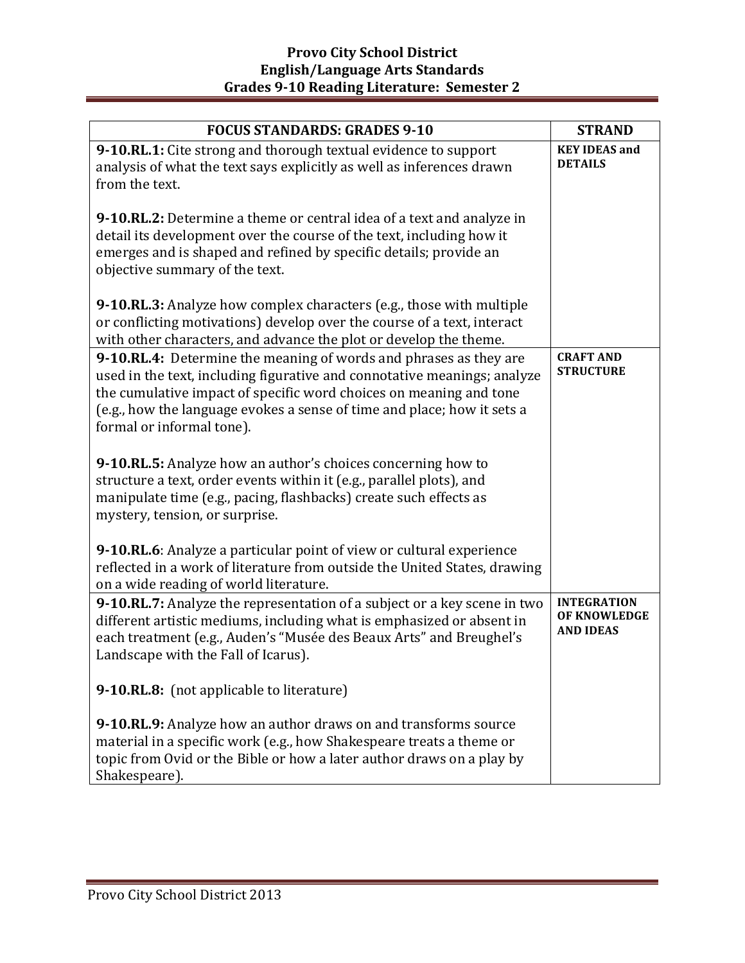| <b>FOCUS STANDARDS: GRADES 9-10</b>                                                                                                                                                                                                                                                                                         | <b>STRAND</b>                                          |
|-----------------------------------------------------------------------------------------------------------------------------------------------------------------------------------------------------------------------------------------------------------------------------------------------------------------------------|--------------------------------------------------------|
| 9-10.RL.1: Cite strong and thorough textual evidence to support<br>analysis of what the text says explicitly as well as inferences drawn<br>from the text.                                                                                                                                                                  | <b>KEY IDEAS and</b><br><b>DETAILS</b>                 |
| 9-10.RL.2: Determine a theme or central idea of a text and analyze in<br>detail its development over the course of the text, including how it<br>emerges and is shaped and refined by specific details; provide an<br>objective summary of the text.                                                                        |                                                        |
| 9-10.RL.3: Analyze how complex characters (e.g., those with multiple<br>or conflicting motivations) develop over the course of a text, interact<br>with other characters, and advance the plot or develop the theme.                                                                                                        |                                                        |
| 9-10.RL.4: Determine the meaning of words and phrases as they are<br>used in the text, including figurative and connotative meanings; analyze<br>the cumulative impact of specific word choices on meaning and tone<br>(e.g., how the language evokes a sense of time and place; how it sets a<br>formal or informal tone). | <b>CRAFT AND</b><br><b>STRUCTURE</b>                   |
| 9-10.RL.5: Analyze how an author's choices concerning how to<br>structure a text, order events within it (e.g., parallel plots), and<br>manipulate time (e.g., pacing, flashbacks) create such effects as<br>mystery, tension, or surprise.                                                                                 |                                                        |
| 9-10.RL.6: Analyze a particular point of view or cultural experience<br>reflected in a work of literature from outside the United States, drawing<br>on a wide reading of world literature.                                                                                                                                 |                                                        |
| 9-10.RL.7: Analyze the representation of a subject or a key scene in two<br>different artistic mediums, including what is emphasized or absent in<br>each treatment (e.g., Auden's "Musée des Beaux Arts" and Breughel's<br>Landscape with the Fall of Icarus).                                                             | <b>INTEGRATION</b><br>OF KNOWLEDGE<br><b>AND IDEAS</b> |
| 9-10.RL.8: (not applicable to literature)                                                                                                                                                                                                                                                                                   |                                                        |
| 9-10.RL.9: Analyze how an author draws on and transforms source<br>material in a specific work (e.g., how Shakespeare treats a theme or<br>topic from Ovid or the Bible or how a later author draws on a play by<br>Shakespeare).                                                                                           |                                                        |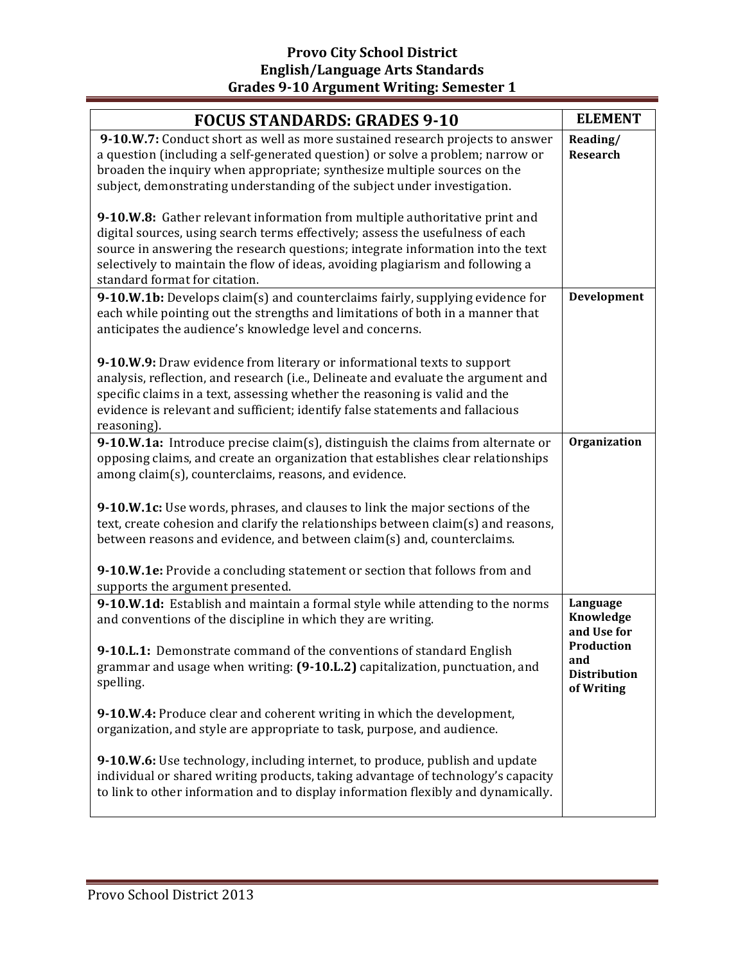| <b>FOCUS STANDARDS: GRADES 9-10</b>                                                                                                                                                                                                                                                                                                                                 | <b>ELEMENT</b>                                            |
|---------------------------------------------------------------------------------------------------------------------------------------------------------------------------------------------------------------------------------------------------------------------------------------------------------------------------------------------------------------------|-----------------------------------------------------------|
| 9-10.W.7: Conduct short as well as more sustained research projects to answer<br>a question (including a self-generated question) or solve a problem; narrow or<br>broaden the inquiry when appropriate; synthesize multiple sources on the<br>subject, demonstrating understanding of the subject under investigation.                                             | Reading/<br><b>Research</b>                               |
| 9-10.W.8: Gather relevant information from multiple authoritative print and<br>digital sources, using search terms effectively; assess the usefulness of each<br>source in answering the research questions; integrate information into the text<br>selectively to maintain the flow of ideas, avoiding plagiarism and following a<br>standard format for citation. |                                                           |
| 9-10.W.1b: Develops claim(s) and counterclaims fairly, supplying evidence for<br>each while pointing out the strengths and limitations of both in a manner that<br>anticipates the audience's knowledge level and concerns.                                                                                                                                         | Development                                               |
| 9-10.W.9: Draw evidence from literary or informational texts to support<br>analysis, reflection, and research (i.e., Delineate and evaluate the argument and<br>specific claims in a text, assessing whether the reasoning is valid and the<br>evidence is relevant and sufficient; identify false statements and fallacious<br>reasoning).                         |                                                           |
| 9-10.W.1a: Introduce precise claim(s), distinguish the claims from alternate or<br>opposing claims, and create an organization that establishes clear relationships<br>among claim(s), counterclaims, reasons, and evidence.                                                                                                                                        | Organization                                              |
| 9-10.W.1c: Use words, phrases, and clauses to link the major sections of the<br>text, create cohesion and clarify the relationships between claim(s) and reasons,<br>between reasons and evidence, and between claim(s) and, counterclaims.                                                                                                                         |                                                           |
| 9-10.W.1e: Provide a concluding statement or section that follows from and<br>supports the argument presented.                                                                                                                                                                                                                                                      |                                                           |
| 9-10.W.1d: Establish and maintain a formal style while attending to the norms<br>and conventions of the discipline in which they are writing.<br>9-10.L.1: Demonstrate command of the conventions of standard English                                                                                                                                               | Language<br>Knowledge<br>and Use for<br><b>Production</b> |
| grammar and usage when writing: (9-10.L.2) capitalization, punctuation, and<br>spelling.                                                                                                                                                                                                                                                                            | and<br><b>Distribution</b><br>of Writing                  |
| 9-10.W.4: Produce clear and coherent writing in which the development,<br>organization, and style are appropriate to task, purpose, and audience.                                                                                                                                                                                                                   |                                                           |
| 9-10.W.6: Use technology, including internet, to produce, publish and update<br>individual or shared writing products, taking advantage of technology's capacity<br>to link to other information and to display information flexibly and dynamically.                                                                                                               |                                                           |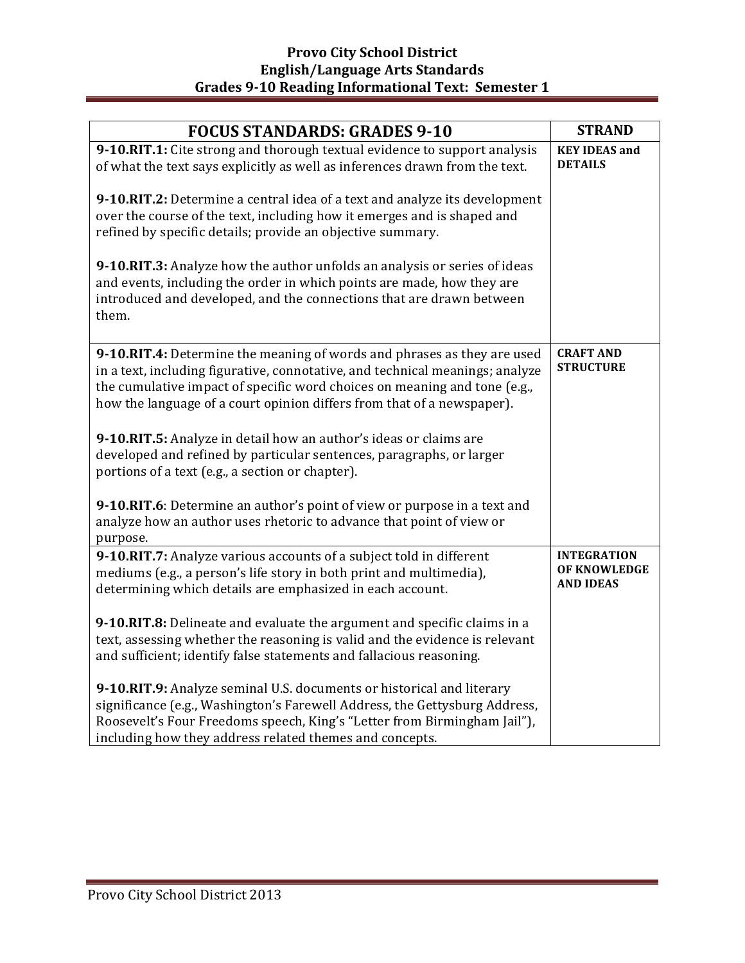| <b>FOCUS STANDARDS: GRADES 9-10</b>                                                                                                                                                                                                                                                                             | <b>STRAND</b>                                          |
|-----------------------------------------------------------------------------------------------------------------------------------------------------------------------------------------------------------------------------------------------------------------------------------------------------------------|--------------------------------------------------------|
| 9-10.RIT.1: Cite strong and thorough textual evidence to support analysis<br>of what the text says explicitly as well as inferences drawn from the text.                                                                                                                                                        | <b>KEY IDEAS and</b><br><b>DETAILS</b>                 |
| 9-10.RIT.2: Determine a central idea of a text and analyze its development<br>over the course of the text, including how it emerges and is shaped and<br>refined by specific details; provide an objective summary.                                                                                             |                                                        |
| 9-10.RIT.3: Analyze how the author unfolds an analysis or series of ideas<br>and events, including the order in which points are made, how they are<br>introduced and developed, and the connections that are drawn between<br>them.                                                                            |                                                        |
| 9-10.RIT.4: Determine the meaning of words and phrases as they are used<br>in a text, including figurative, connotative, and technical meanings; analyze<br>the cumulative impact of specific word choices on meaning and tone (e.g.,<br>how the language of a court opinion differs from that of a newspaper). | <b>CRAFT AND</b><br><b>STRUCTURE</b>                   |
| 9-10.RIT.5: Analyze in detail how an author's ideas or claims are<br>developed and refined by particular sentences, paragraphs, or larger<br>portions of a text (e.g., a section or chapter).                                                                                                                   |                                                        |
| 9-10.RIT.6: Determine an author's point of view or purpose in a text and<br>analyze how an author uses rhetoric to advance that point of view or<br>purpose.                                                                                                                                                    |                                                        |
| 9-10.RIT.7: Analyze various accounts of a subject told in different<br>mediums (e.g., a person's life story in both print and multimedia),<br>determining which details are emphasized in each account.                                                                                                         | <b>INTEGRATION</b><br>OF KNOWLEDGE<br><b>AND IDEAS</b> |
| 9-10.RIT.8: Delineate and evaluate the argument and specific claims in a<br>text, assessing whether the reasoning is valid and the evidence is relevant<br>and sufficient; identify false statements and fallacious reasoning.                                                                                  |                                                        |
| 9-10.RIT.9: Analyze seminal U.S. documents or historical and literary<br>significance (e.g., Washington's Farewell Address, the Gettysburg Address,<br>Roosevelt's Four Freedoms speech, King's "Letter from Birmingham Jail"),<br>including how they address related themes and concepts.                      |                                                        |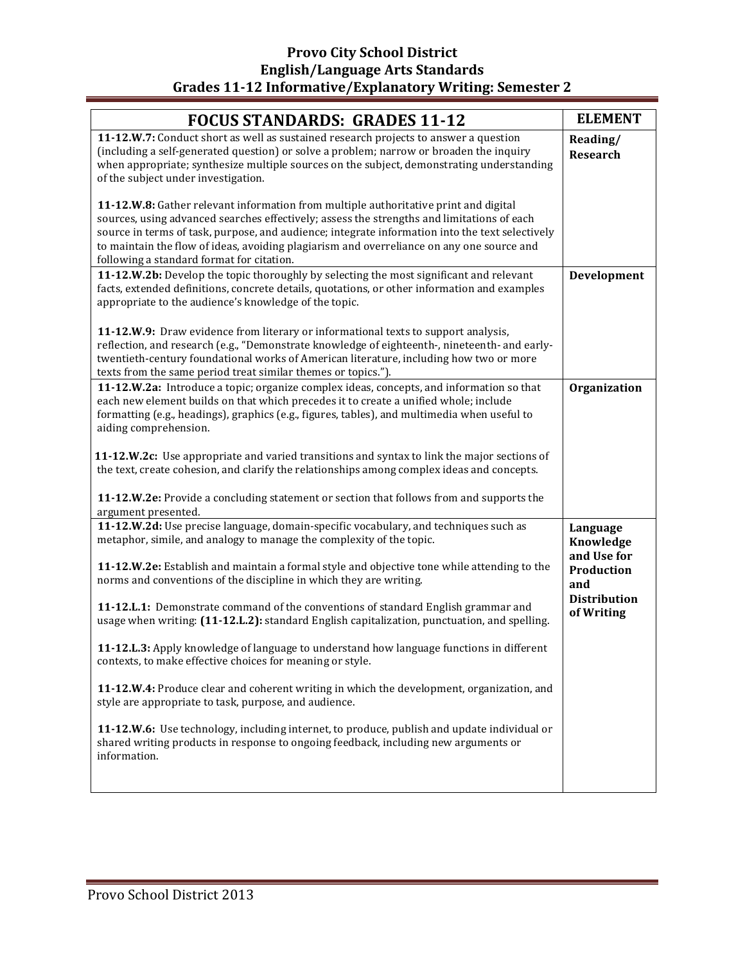# **Provo City School District English/Language Arts Standards** Grades 11-12 Informative/Explanatory Writing: Semester 2

| <b>FOCUS STANDARDS: GRADES 11-12</b>                                                                                                                                                                                                                                                                                                                                                                                            | <b>ELEMENT</b>                       |
|---------------------------------------------------------------------------------------------------------------------------------------------------------------------------------------------------------------------------------------------------------------------------------------------------------------------------------------------------------------------------------------------------------------------------------|--------------------------------------|
| 11-12.W.7: Conduct short as well as sustained research projects to answer a question<br>(including a self-generated question) or solve a problem; narrow or broaden the inquiry<br>when appropriate; synthesize multiple sources on the subject, demonstrating understanding<br>of the subject under investigation.                                                                                                             | Reading/<br><b>Research</b>          |
| 11-12.W.8: Gather relevant information from multiple authoritative print and digital<br>sources, using advanced searches effectively; assess the strengths and limitations of each<br>source in terms of task, purpose, and audience; integrate information into the text selectively<br>to maintain the flow of ideas, avoiding plagiarism and overreliance on any one source and<br>following a standard format for citation. |                                      |
| 11-12.W.2b: Develop the topic thoroughly by selecting the most significant and relevant<br>facts, extended definitions, concrete details, quotations, or other information and examples<br>appropriate to the audience's knowledge of the topic.                                                                                                                                                                                | Development                          |
| 11-12.W.9: Draw evidence from literary or informational texts to support analysis,<br>reflection, and research (e.g., "Demonstrate knowledge of eighteenth-, nineteenth- and early-<br>twentieth-century foundational works of American literature, including how two or more<br>texts from the same period treat similar themes or topics.").                                                                                  |                                      |
| 11-12.W.2a: Introduce a topic; organize complex ideas, concepts, and information so that<br>each new element builds on that which precedes it to create a unified whole; include<br>formatting (e.g., headings), graphics (e.g., figures, tables), and multimedia when useful to<br>aiding comprehension.                                                                                                                       | Organization                         |
| 11-12.W.2c: Use appropriate and varied transitions and syntax to link the major sections of<br>the text, create cohesion, and clarify the relationships among complex ideas and concepts.                                                                                                                                                                                                                                       |                                      |
| 11-12.W.2e: Provide a concluding statement or section that follows from and supports the<br>argument presented.                                                                                                                                                                                                                                                                                                                 |                                      |
| 11-12.W.2d: Use precise language, domain-specific vocabulary, and techniques such as<br>metaphor, simile, and analogy to manage the complexity of the topic.                                                                                                                                                                                                                                                                    | Language<br>Knowledge<br>and Use for |
| 11-12.W.2e: Establish and maintain a formal style and objective tone while attending to the<br>norms and conventions of the discipline in which they are writing.                                                                                                                                                                                                                                                               | Production<br>and                    |
| 11-12.L.1: Demonstrate command of the conventions of standard English grammar and<br>usage when writing: (11-12.L.2): standard English capitalization, punctuation, and spelling.                                                                                                                                                                                                                                               | <b>Distribution</b><br>of Writing    |
| 11-12.L.3: Apply knowledge of language to understand how language functions in different<br>contexts, to make effective choices for meaning or style.                                                                                                                                                                                                                                                                           |                                      |
| 11-12.W.4: Produce clear and coherent writing in which the development, organization, and<br>style are appropriate to task, purpose, and audience.                                                                                                                                                                                                                                                                              |                                      |
| 11-12.W.6: Use technology, including internet, to produce, publish and update individual or<br>shared writing products in response to ongoing feedback, including new arguments or<br>information.                                                                                                                                                                                                                              |                                      |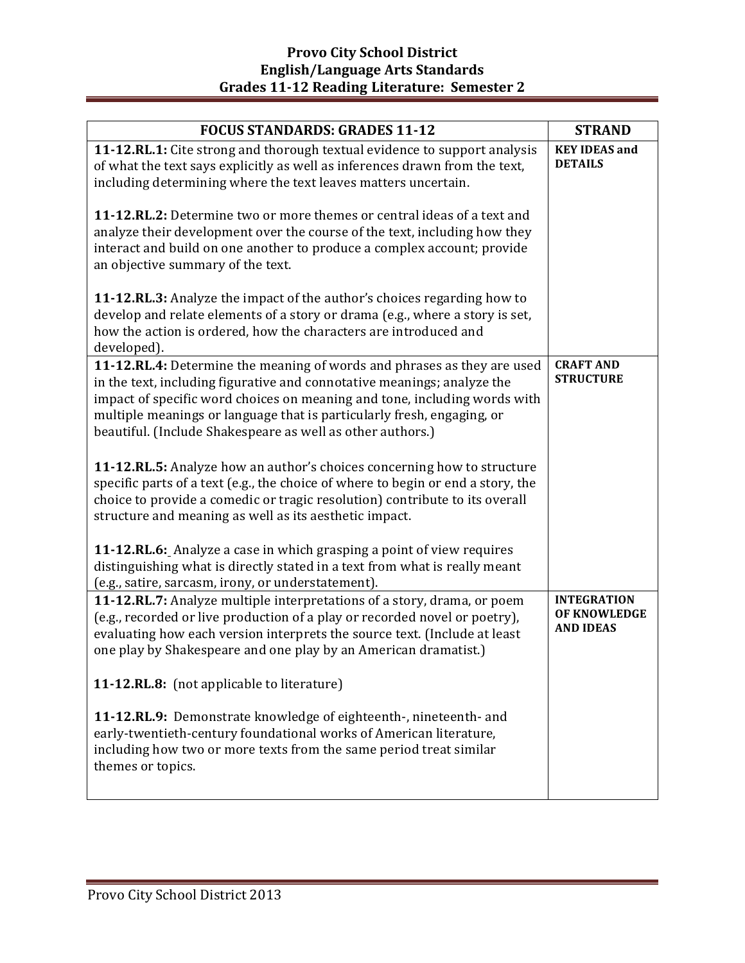| <b>FOCUS STANDARDS: GRADES 11-12</b>                                                                                                                                                                                                                                                                                                                                    | <b>STRAND</b>                                          |
|-------------------------------------------------------------------------------------------------------------------------------------------------------------------------------------------------------------------------------------------------------------------------------------------------------------------------------------------------------------------------|--------------------------------------------------------|
| 11-12.RL.1: Cite strong and thorough textual evidence to support analysis<br>of what the text says explicitly as well as inferences drawn from the text,<br>including determining where the text leaves matters uncertain.                                                                                                                                              | <b>KEY IDEAS and</b><br><b>DETAILS</b>                 |
| <b>11-12.RL.2:</b> Determine two or more themes or central ideas of a text and<br>analyze their development over the course of the text, including how they<br>interact and build on one another to produce a complex account; provide<br>an objective summary of the text.                                                                                             |                                                        |
| 11-12. RL. 3: Analyze the impact of the author's choices regarding how to<br>develop and relate elements of a story or drama (e.g., where a story is set,<br>how the action is ordered, how the characters are introduced and<br>developed).                                                                                                                            |                                                        |
| 11-12.RL.4: Determine the meaning of words and phrases as they are used<br>in the text, including figurative and connotative meanings; analyze the<br>impact of specific word choices on meaning and tone, including words with<br>multiple meanings or language that is particularly fresh, engaging, or<br>beautiful. (Include Shakespeare as well as other authors.) | <b>CRAFT AND</b><br><b>STRUCTURE</b>                   |
| 11-12.RL.5: Analyze how an author's choices concerning how to structure<br>specific parts of a text (e.g., the choice of where to begin or end a story, the<br>choice to provide a comedic or tragic resolution) contribute to its overall<br>structure and meaning as well as its aesthetic impact.                                                                    |                                                        |
| 11-12.RL.6: Analyze a case in which grasping a point of view requires<br>distinguishing what is directly stated in a text from what is really meant<br>(e.g., satire, sarcasm, irony, or understatement).                                                                                                                                                               |                                                        |
| 11-12.RL.7: Analyze multiple interpretations of a story, drama, or poem<br>(e.g., recorded or live production of a play or recorded novel or poetry),<br>evaluating how each version interprets the source text. (Include at least<br>one play by Shakespeare and one play by an American dramatist.)                                                                   | <b>INTEGRATION</b><br>OF KNOWLEDGE<br><b>AND IDEAS</b> |
| 11-12.RL.8: (not applicable to literature)                                                                                                                                                                                                                                                                                                                              |                                                        |
| 11-12.RL.9: Demonstrate knowledge of eighteenth-, nineteenth- and<br>early-twentieth-century foundational works of American literature,<br>including how two or more texts from the same period treat similar<br>themes or topics.                                                                                                                                      |                                                        |